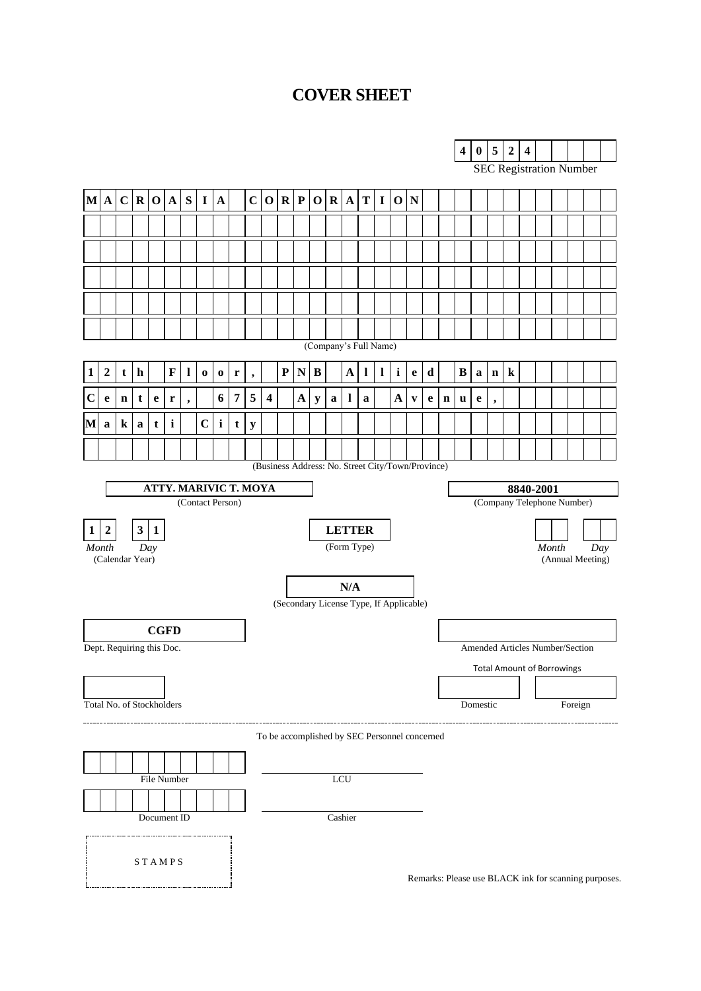#### **COVER SHEET**

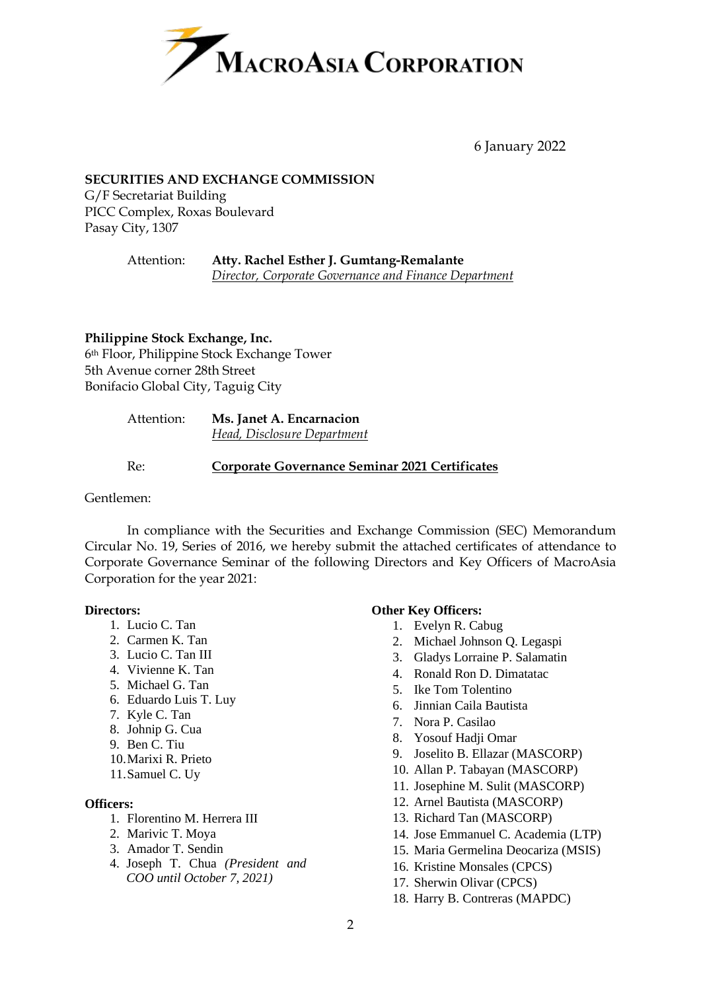

6 January 2022

#### **SECURITIES AND EXCHANGE COMMISSION**

G/F Secretariat Building PICC Complex, Roxas Boulevard Pasay City, 1307

> Attention: **Atty. Rachel Esther J. Gumtang-Remalante** *Director, Corporate Governance and Finance Department*

**Philippine Stock Exchange, Inc.** 6th Floor, Philippine Stock Exchange Tower 5th Avenue corner 28th Street Bonifacio Global City, Taguig City

| Attention: | Ms. Janet A. Encarnacion    |  |
|------------|-----------------------------|--|
|            | Head, Disclosure Department |  |

Re: **Corporate Governance Seminar 2021 Certificates**

#### Gentlemen:

In compliance with the Securities and Exchange Commission (SEC) Memorandum Circular No. 19, Series of 2016, we hereby submit the attached certificates of attendance to Corporate Governance Seminar of the following Directors and Key Officers of MacroAsia Corporation for the year 2021:

#### **Directors:**

- 1. Lucio C. Tan
- 2. Carmen K. Tan
- 3. Lucio C. Tan III
- 4. Vivienne K. Tan
- 5. Michael G. Tan
- 6. Eduardo Luis T. Luy
- 7. Kyle C. Tan
- 8. Johnip G. Cua
- 9. Ben C. Tiu
- 10.Marixi R. Prieto
- 11.Samuel C. Uy

#### **Officers:**

- 1. Florentino M. Herrera III
- 2. Marivic T. Moya
- 3. Amador T. Sendin
- 4. Joseph T. Chua *(President and COO until October 7, 2021)*

#### **Other Key Officers:**

- 1. Evelyn R. Cabug
- 2. Michael Johnson Q. Legaspi
- 3. Gladys Lorraine P. Salamatin
- 4. Ronald Ron D. Dimatatac
- 5. Ike Tom Tolentino
- 6. Jinnian Caila Bautista
- 7. Nora P. Casilao
- 8. Yosouf Hadji Omar
- 9. Joselito B. Ellazar (MASCORP)
- 10. Allan P. Tabayan (MASCORP)
- 11. Josephine M. Sulit (MASCORP)
- 12. Arnel Bautista (MASCORP)
- 13. Richard Tan (MASCORP)
- 14. Jose Emmanuel C. Academia (LTP)
- 15. Maria Germelina Deocariza (MSIS)
- 16. Kristine Monsales (CPCS)
- 17. Sherwin Olivar (CPCS)
- 18. Harry B. Contreras (MAPDC)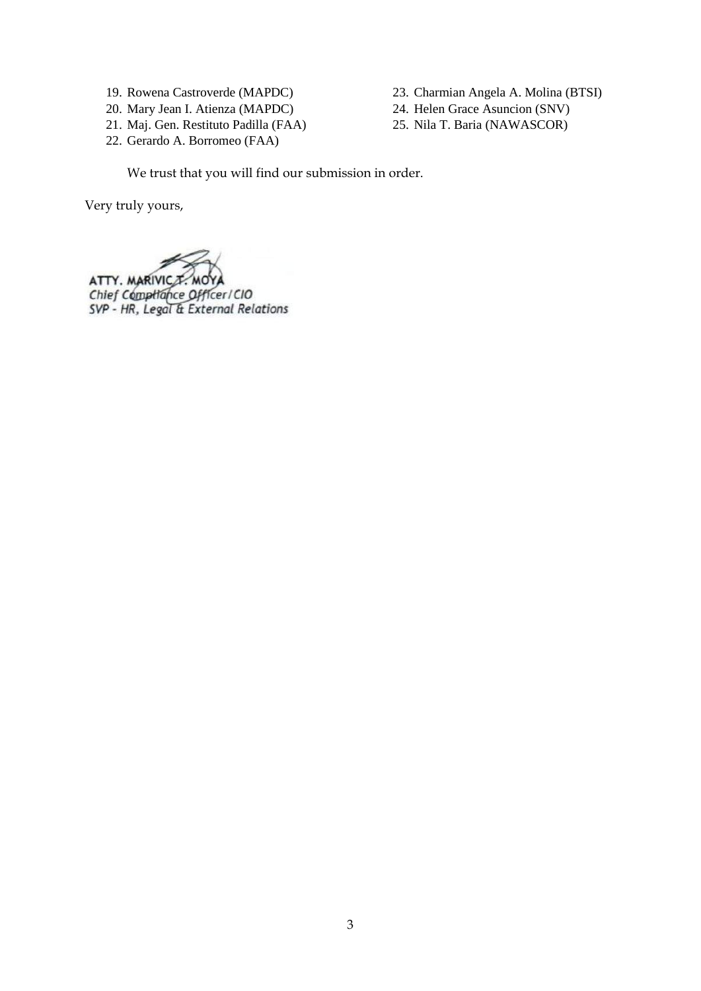- 19. Rowena Castroverde (MAPDC)
- 20. Mary Jean I. Atienza (MAPDC)
- 21. Maj. Gen. Restituto Padilla (FAA)
- 22. Gerardo A. Borromeo (FAA)
- 23. Charmian Angela A. Molina (BTSI)
- 24. Helen Grace Asuncion (SNV)
- 25. Nila T. Baria (NAWASCOR)

We trust that you will find our submission in order.

Very truly yours,

ATTY. MARIVIC T. MOYA<br>Chief Compitance Officer/CIO<br>SVP - HR, Legal & External Relations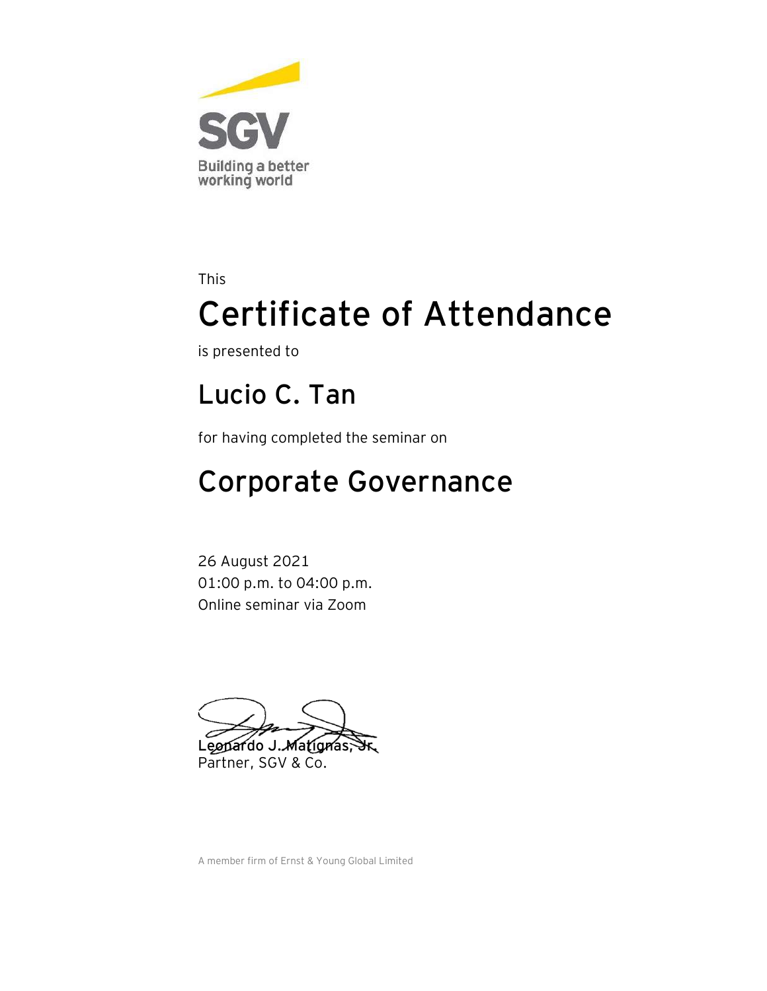

is presented to

#### **Lucio C. Tan**

for having completed the seminar on

## Corporate Governance

26 August 2021 01:00 p.m. to 04:00 p.m. Online seminar via Zoom

Leopardo J. Matignas, Partner, SGV & Co.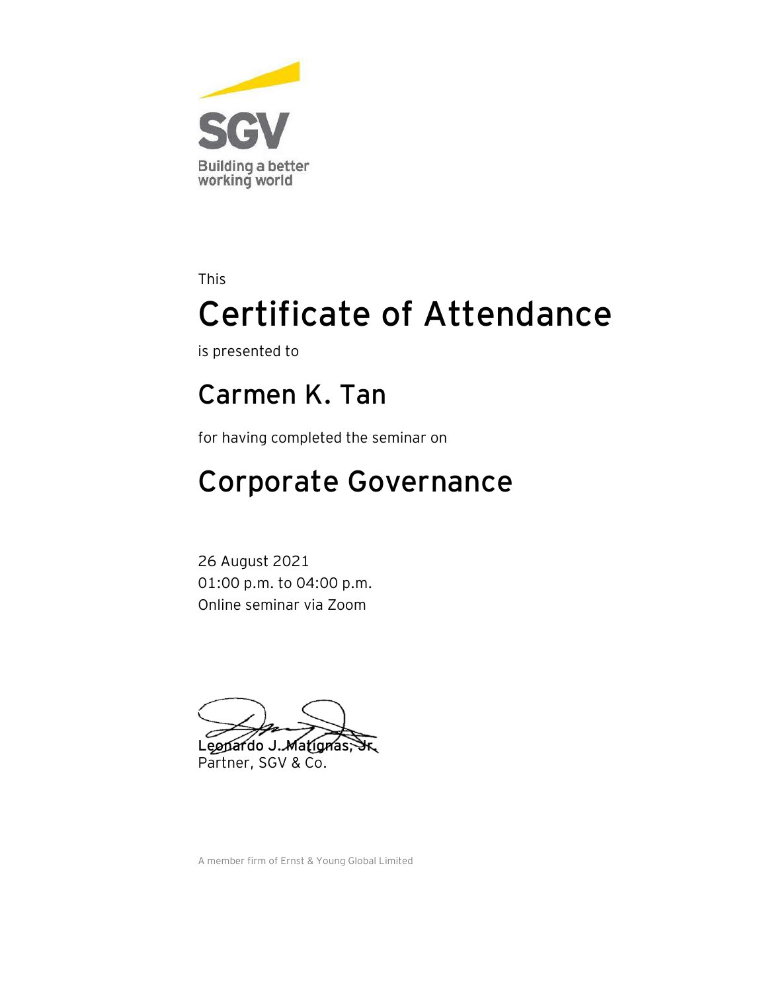

is presented to

#### **Carmen K. Tan**

for having completed the seminar on

## Corporate Governance

26 August 2021 01:00 p.m. to 04:00 p.m. Online seminar via Zoom

Leopardo J. Matignas, Partner, SGV & Co.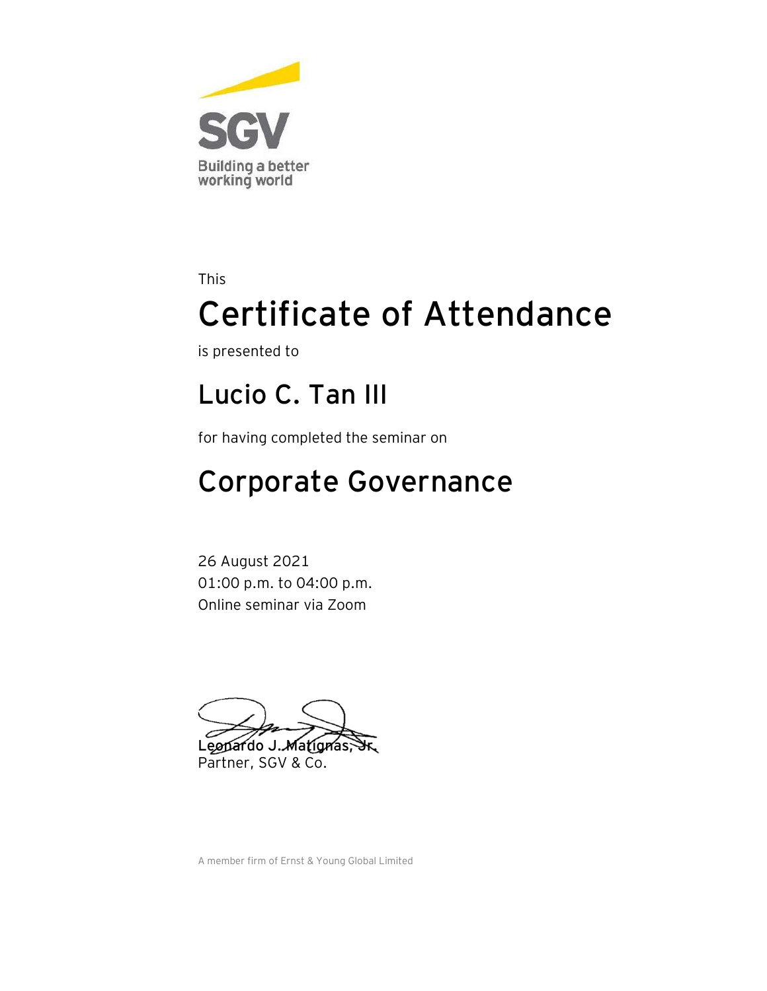

is presented to

#### **Lucio C. Tan III**

for having completed the seminar on

## Corporate Governance

26 August 2021 01:00 p.m. to 04:00 p.m. Online seminar via Zoom

Leopardo J. Matignas, Partner, SGV & Co.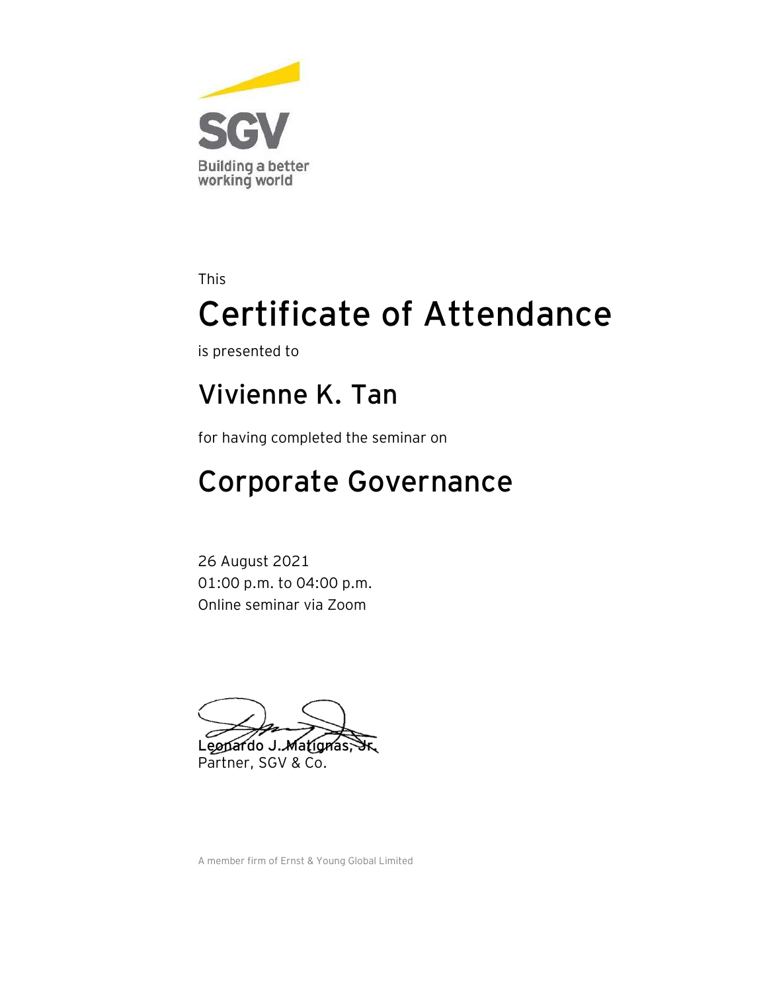

is presented to

#### **Vivienne K. Tan**

for having completed the seminar on

## Corporate Governance

26 August 2021 01:00 p.m. to 04:00 p.m. Online seminar via Zoom

Leopardo J. Matignas, Partner, SGV & Co.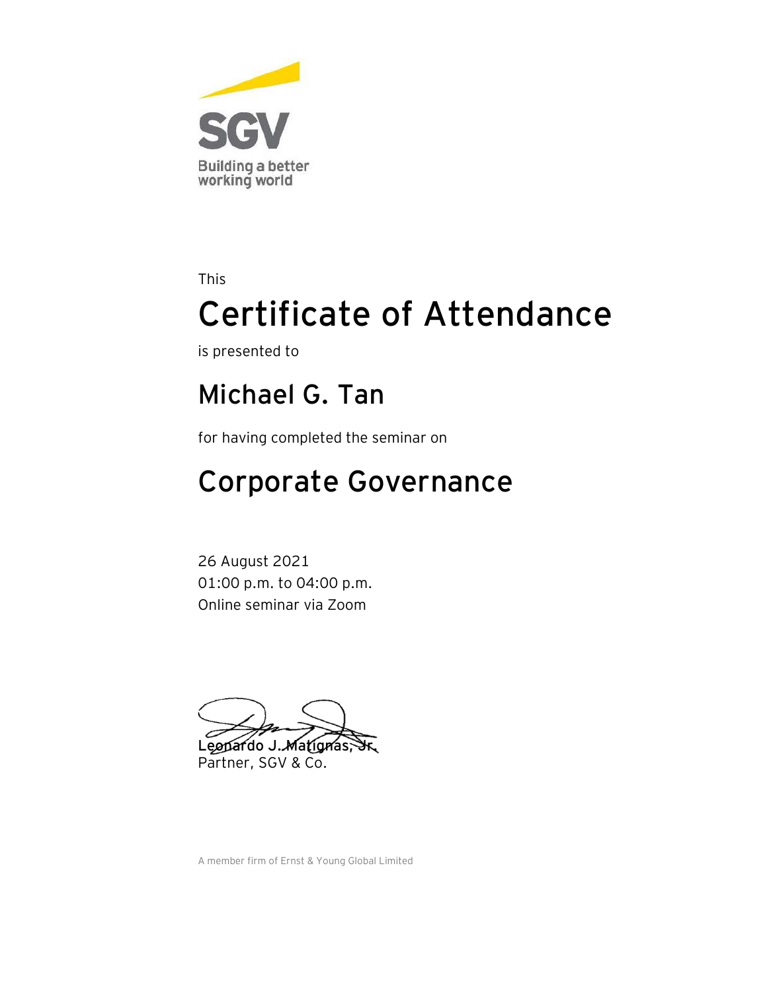

is presented to

#### **Michael G. Tan**

for having completed the seminar on

## Corporate Governance

26 August 2021 01:00 p.m. to 04:00 p.m. Online seminar via Zoom

Leopardo J. Matignas, Partner, SGV & Co.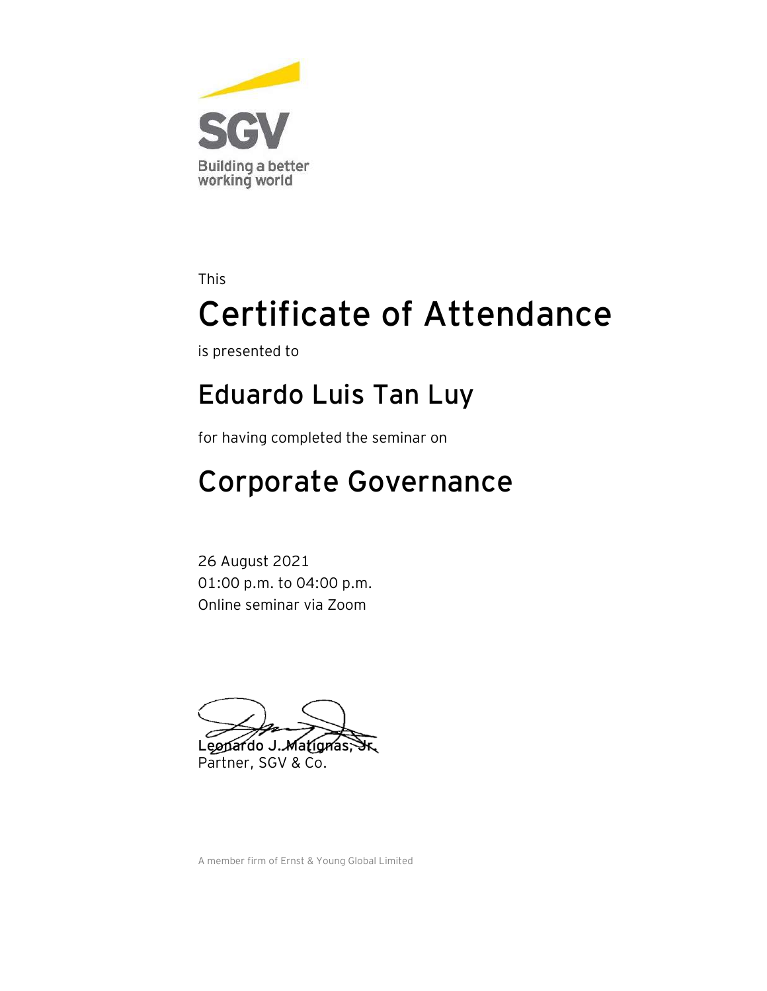

is presented to

#### **Eduardo Luis Tan Luy**

for having completed the seminar on

## Corporate Governance

26 August 2021 01:00 p.m. to 04:00 p.m. Online seminar via Zoom

Leopardo J. Matignas, Partner, SGV & Co.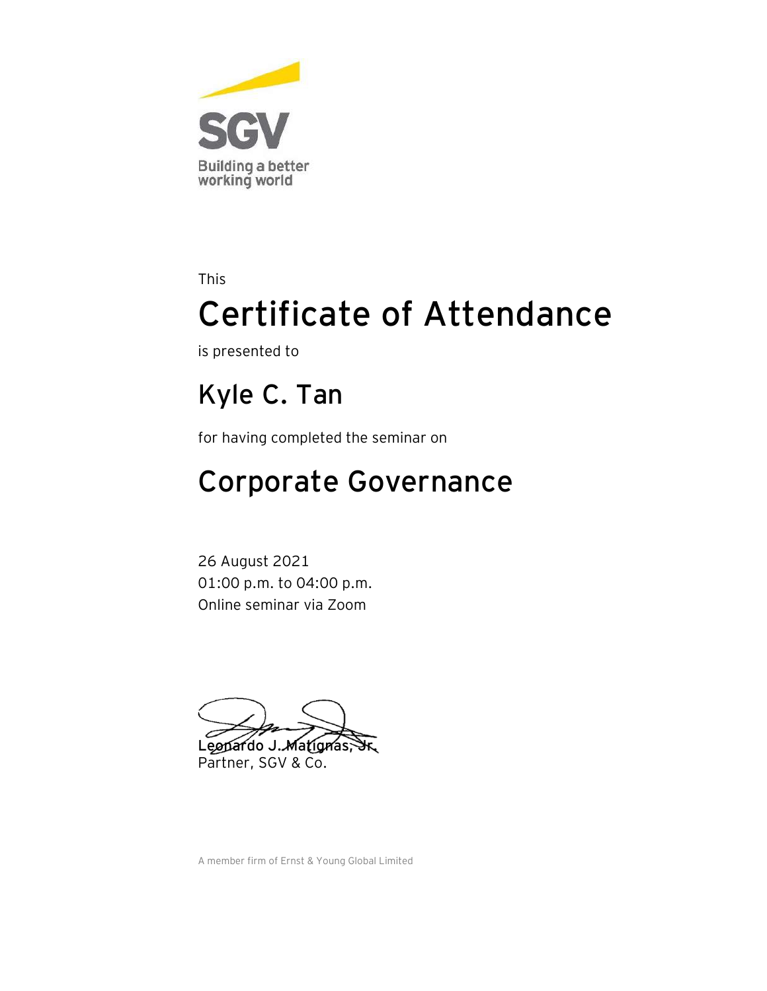

is presented to

### **Kyle C. Tan**

for having completed the seminar on

## Corporate Governance

26 August 2021 01:00 p.m. to 04:00 p.m. Online seminar via Zoom

Leopardo J. Matignas, Partner, SGV & Co.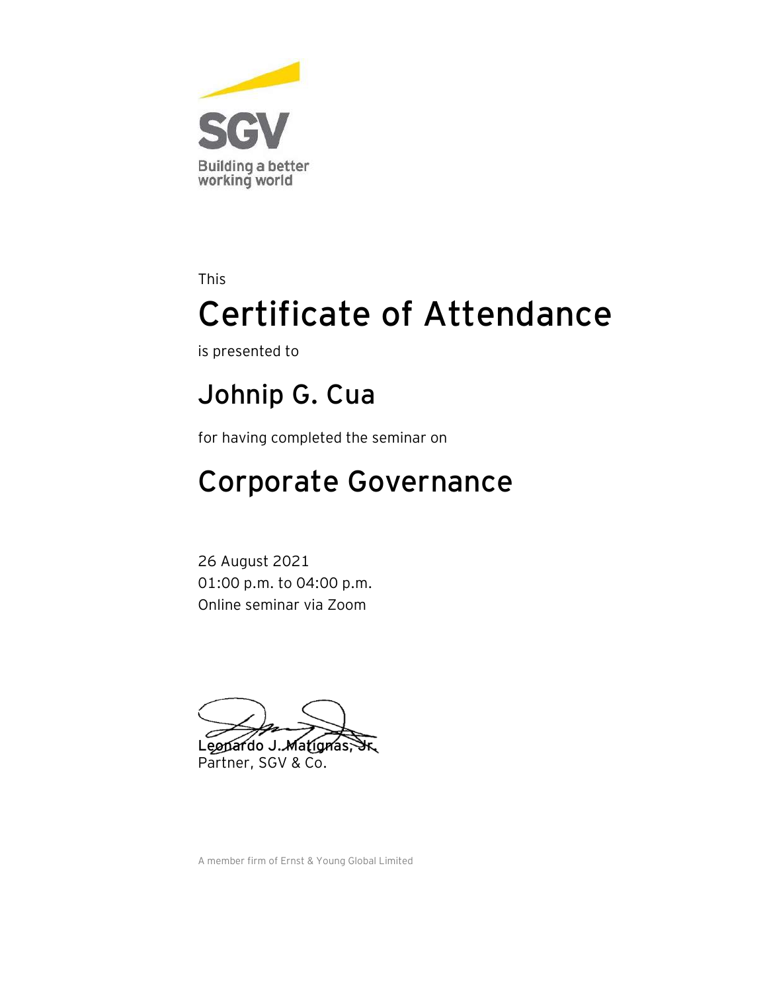

is presented to

#### **Johnip G. Cua**

for having completed the seminar on

### Corporate Governance

26 August 2021 01:00 p.m. to 04:00 p.m. Online seminar via Zoom

Leopardo J. Matignas, Partner, SGV & Co.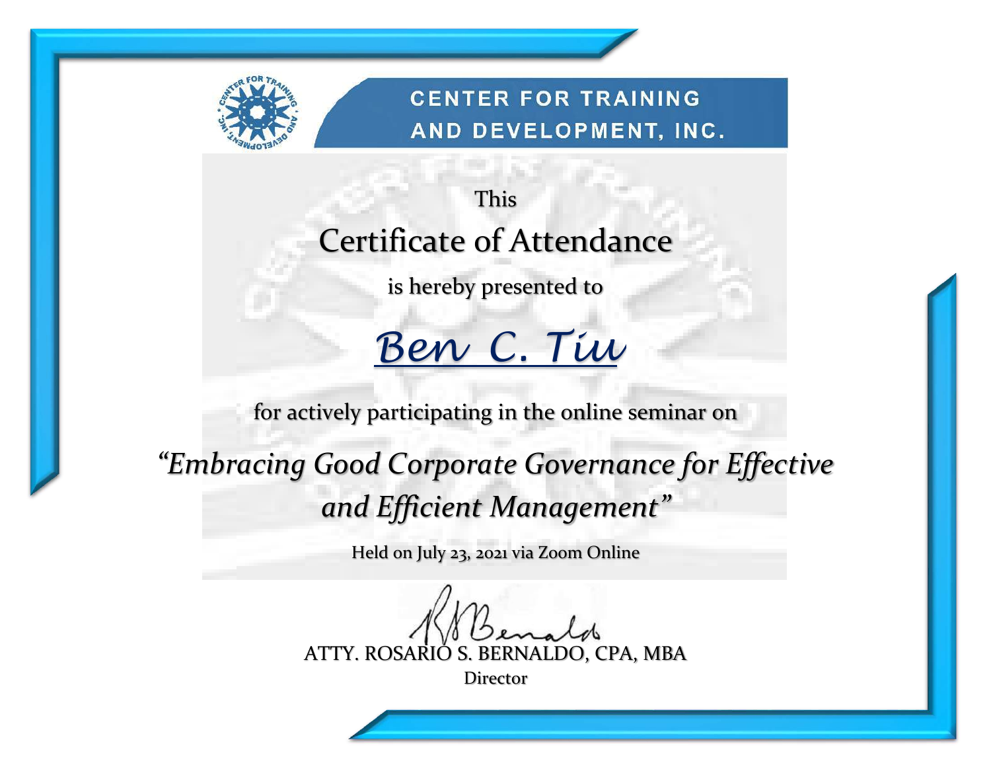

**CENTER FOR TRAINING** AND DEVELOPMENT, INC.

## This Certificate of Attendance

is hereby presented to

# *Ben C. Tiu*

for actively participating in the online seminar on

*"Embracing Good Corporate Governance for Effective and Efficient Management"*

Held on July 23, 2021 via Zoom Online

ATTY. ROSARIO S. BERNALDO, CPA, MBA

Director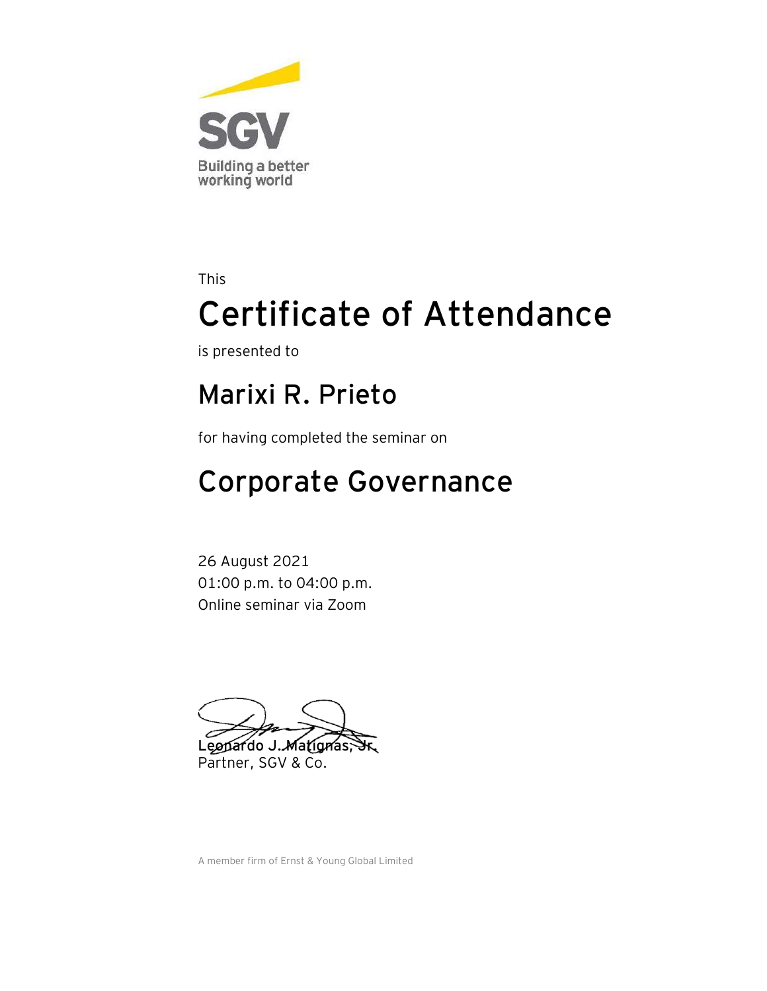

is presented to

#### **Marixi R. Prieto**

for having completed the seminar on

## Corporate Governance

26 August 2021 01:00 p.m. to 04:00 p.m. Online seminar via Zoom

Leopardo J. Matignas, Partner, SGV & Co.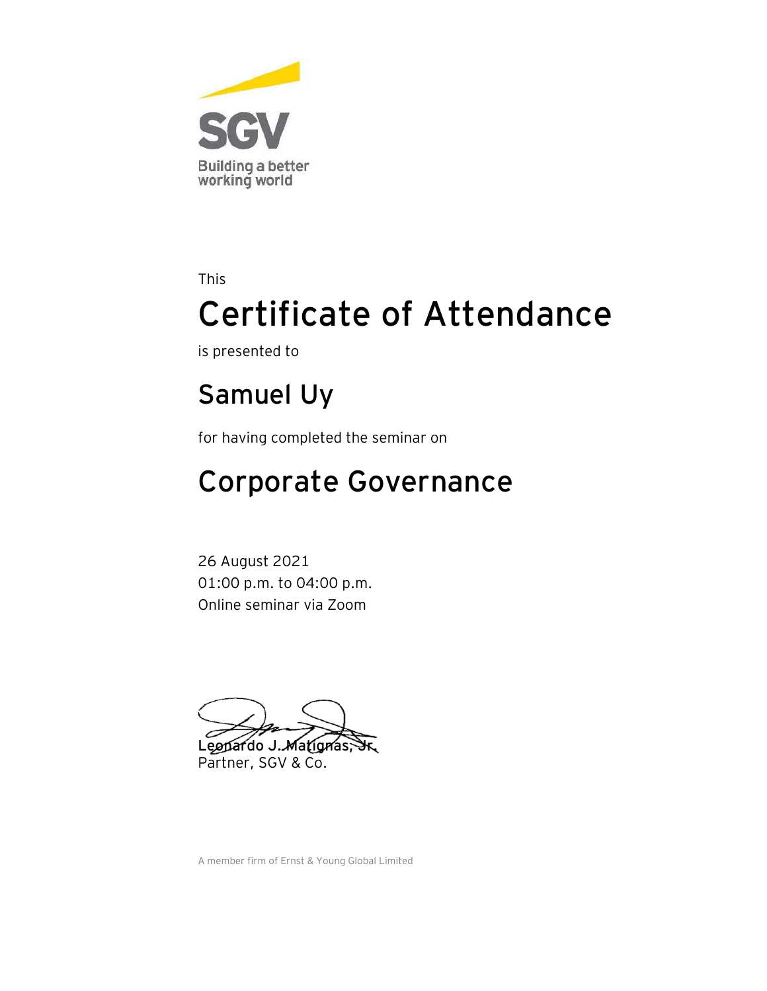

is presented to

### **Samuel Uy**

for having completed the seminar on

## Corporate Governance

26 August 2021 01:00 p.m. to 04:00 p.m. Online seminar via Zoom

Leopardo J. Matignas, Partner, SGV & Co.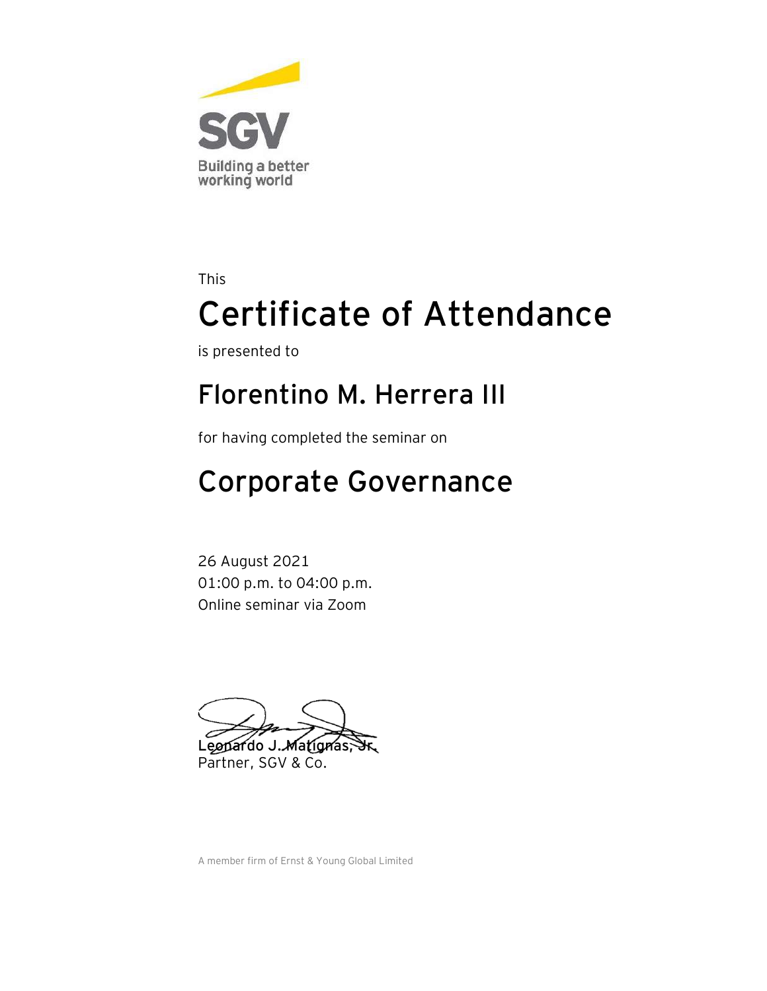

is presented to

#### **Florentino M. Herrera III**

for having completed the seminar on

## Corporate Governance

26 August 2021 01:00 p.m. to 04:00 p.m. Online seminar via Zoom

Leopardo J. Matignas, Partner, SGV & Co.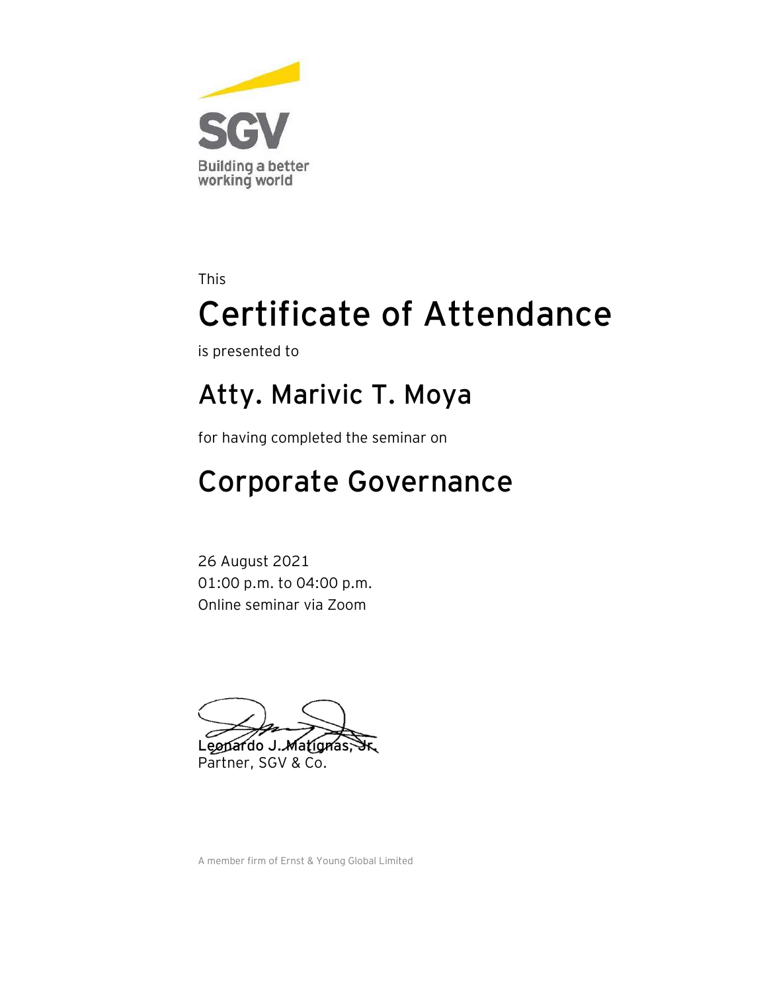

is presented to

#### **Atty. Marivic T. Moya**

for having completed the seminar on

## Corporate Governance

26 August 2021 01:00 p.m. to 04:00 p.m. Online seminar via Zoom

Leopardo J. Matignas, Partner, SGV & Co.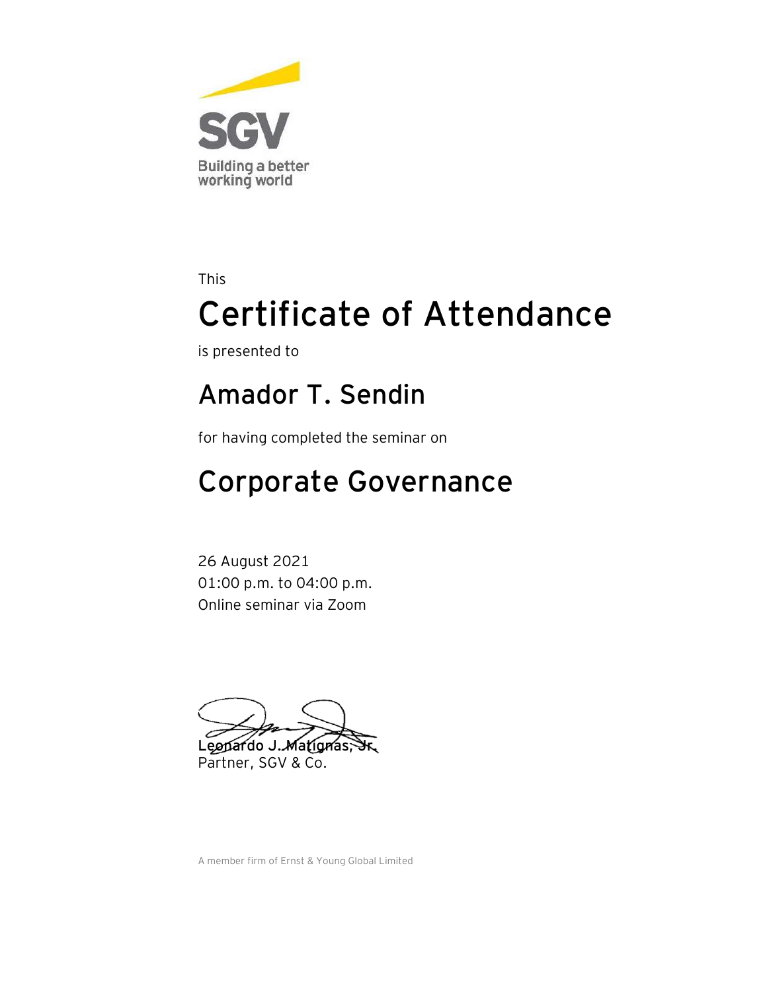

is presented to

#### **Amador T. Sendin**

for having completed the seminar on

## Corporate Governance

26 August 2021 01:00 p.m. to 04:00 p.m. Online seminar via Zoom

Leopardo J. Matignas, Partner, SGV & Co.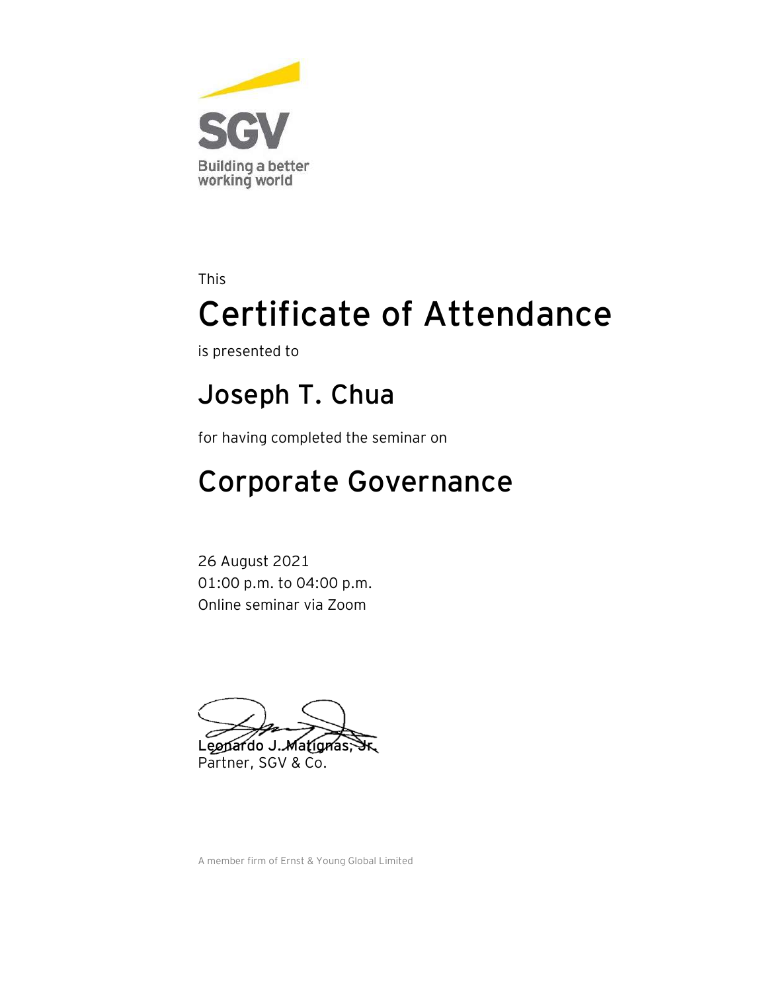

is presented to

#### **Joseph T. Chua**

for having completed the seminar on

## Corporate Governance

26 August 2021 01:00 p.m. to 04:00 p.m. Online seminar via Zoom

Leopardo J. Matignas, Partner, SGV & Co.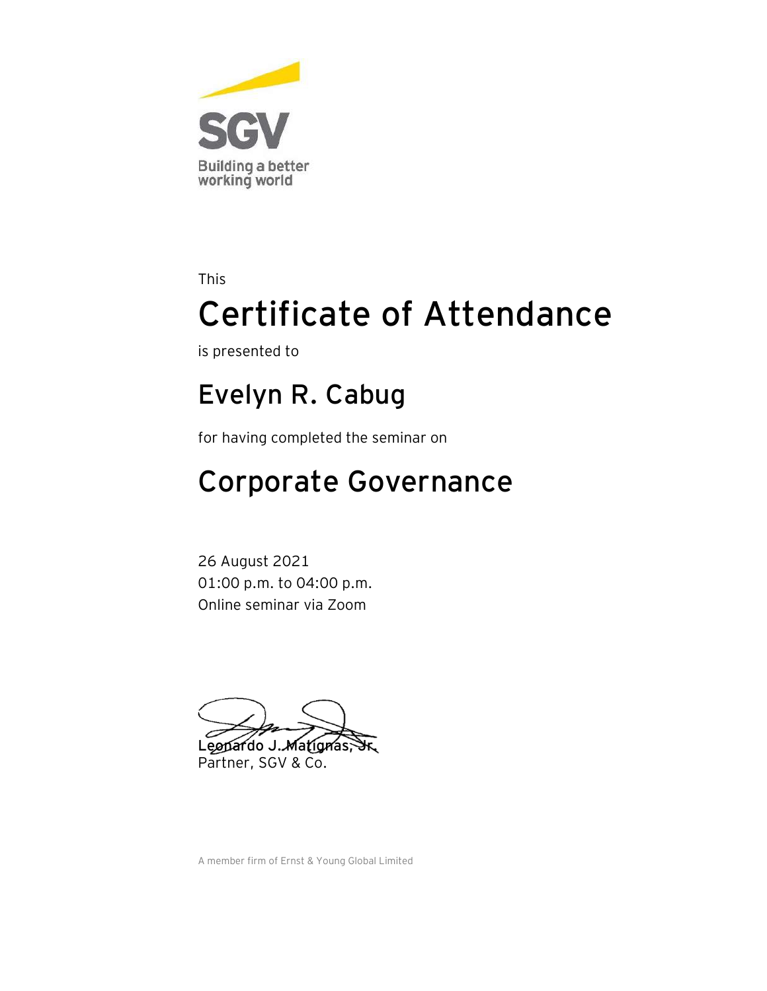

is presented to

#### **Evelyn R. Cabug**

for having completed the seminar on

## Corporate Governance

26 August 2021 01:00 p.m. to 04:00 p.m. Online seminar via Zoom

Leopardo J. Matignas, Partner, SGV & Co.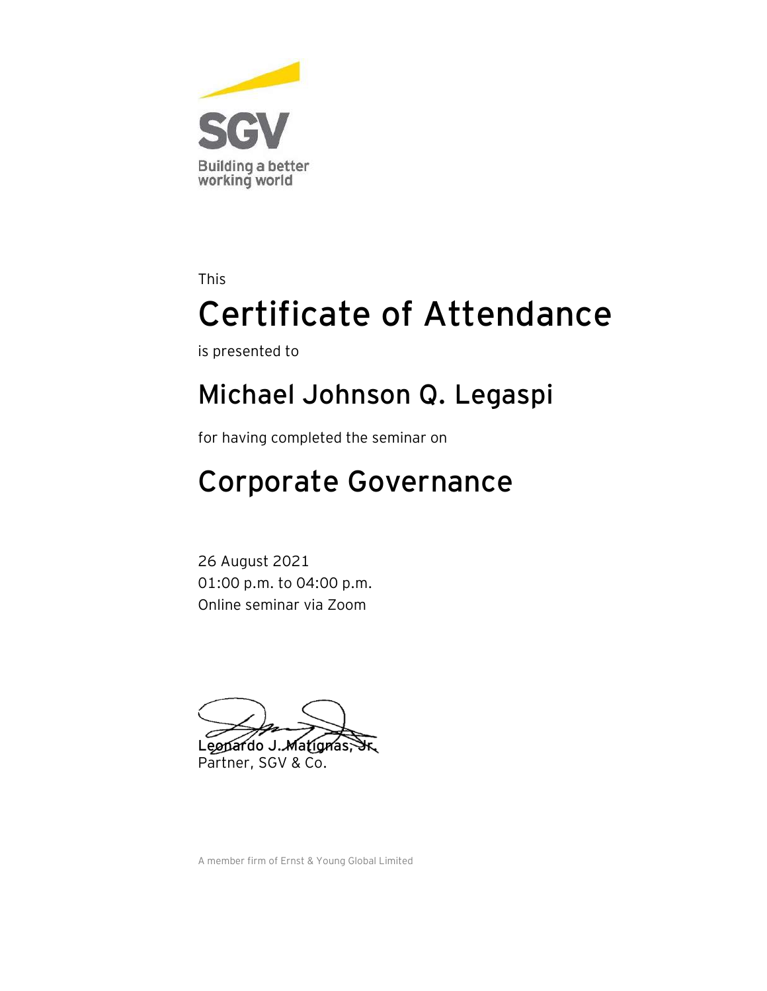

is presented to

#### **Michael Johnson Q. Legaspi**

for having completed the seminar on

## Corporate Governance

26 August 2021 01:00 p.m. to 04:00 p.m. Online seminar via Zoom

Leopardo J. Matignas, Partner, SGV & Co.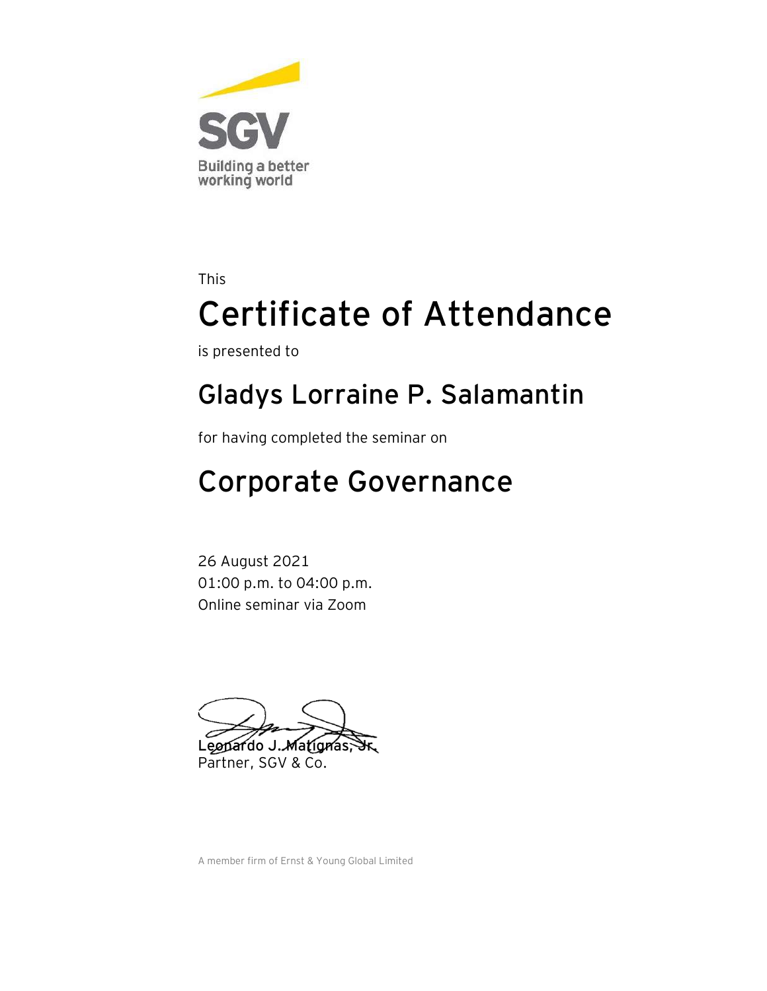

is presented to

#### **Gladys Lorraine P. Salamantin**

for having completed the seminar on

## Corporate Governance

26 August 2021 01:00 p.m. to 04:00 p.m. Online seminar via Zoom

Leonardo J. Matignas Partner, SGV & Co.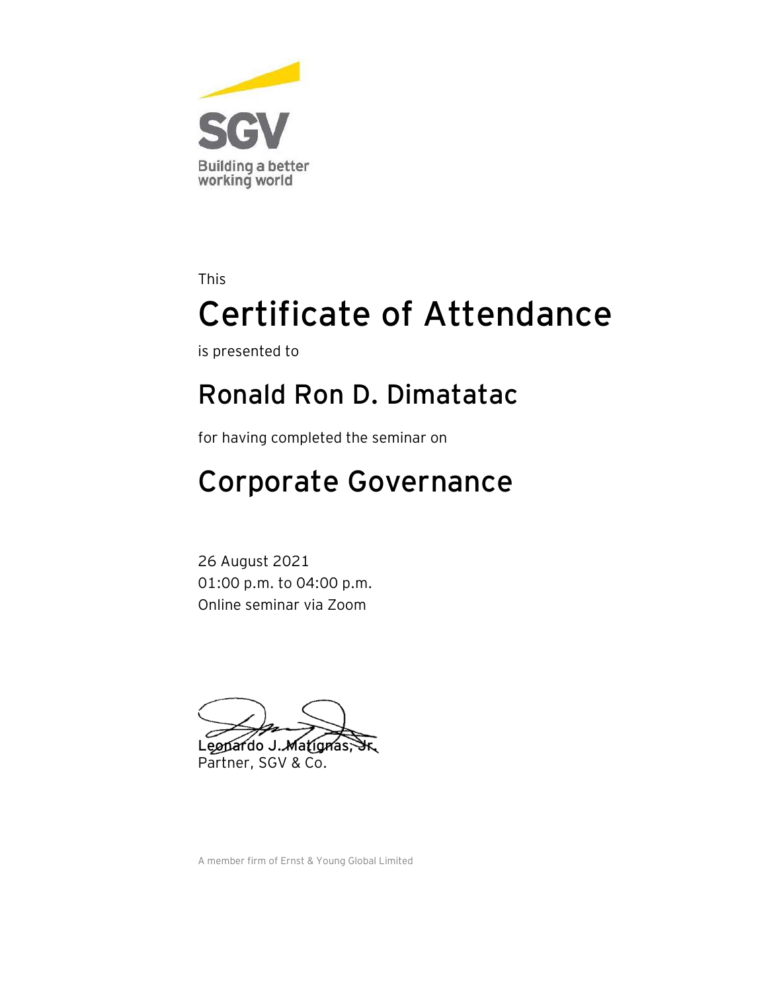

is presented to

#### **Ronald Ron D. Dimatatac**

for having completed the seminar on

## Corporate Governance

26 August 2021 01:00 p.m. to 04:00 p.m. Online seminar via Zoom

Leopardo J. Matignas, Partner, SGV & Co.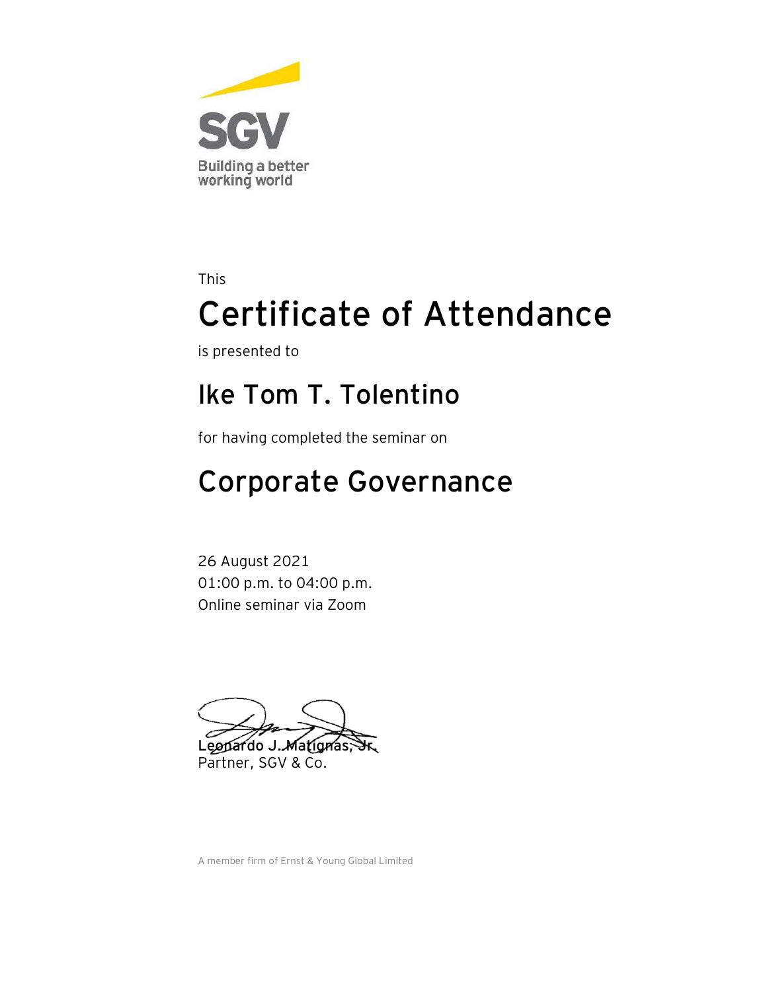

is presented to

#### **Ike Tom T. Tolentino**

for having completed the seminar on

## Corporate Governance

26 August 2021 01:00 p.m. to 04:00 p.m. Online seminar via Zoom

Leopardo J. Matignas, Partner, SGV & Co.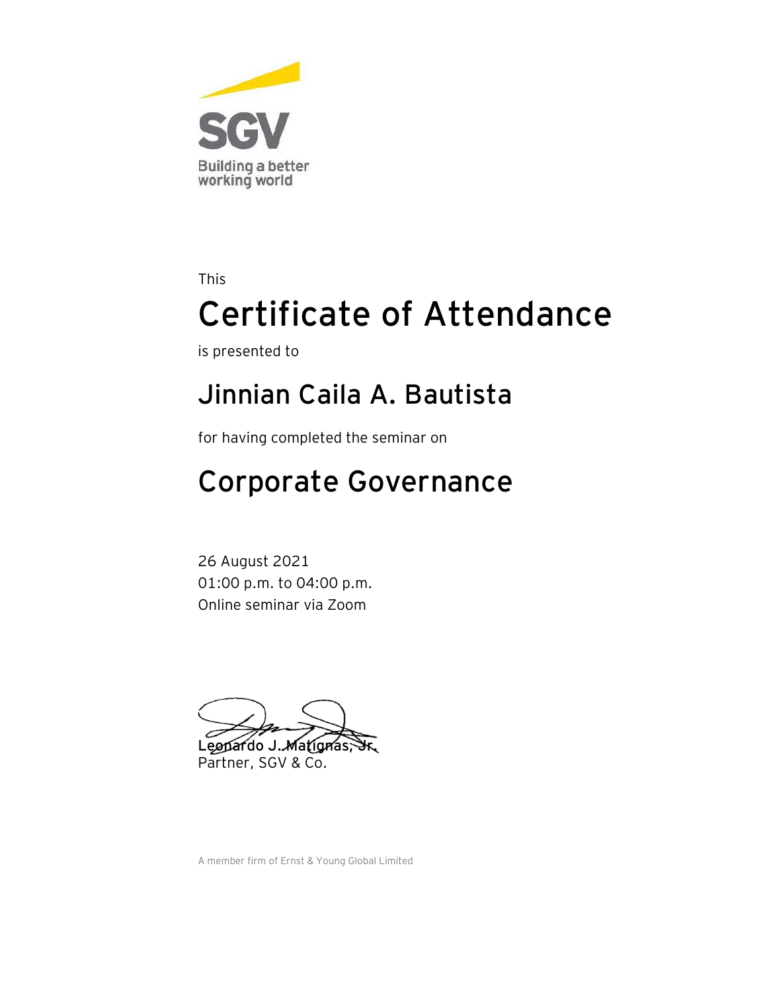

is presented to

#### **Jinnian Caila A. Bautista**

for having completed the seminar on

## Corporate Governance

26 August 2021 01:00 p.m. to 04:00 p.m. Online seminar via Zoom

Leopardo J. Matignas, Partner, SGV & Co.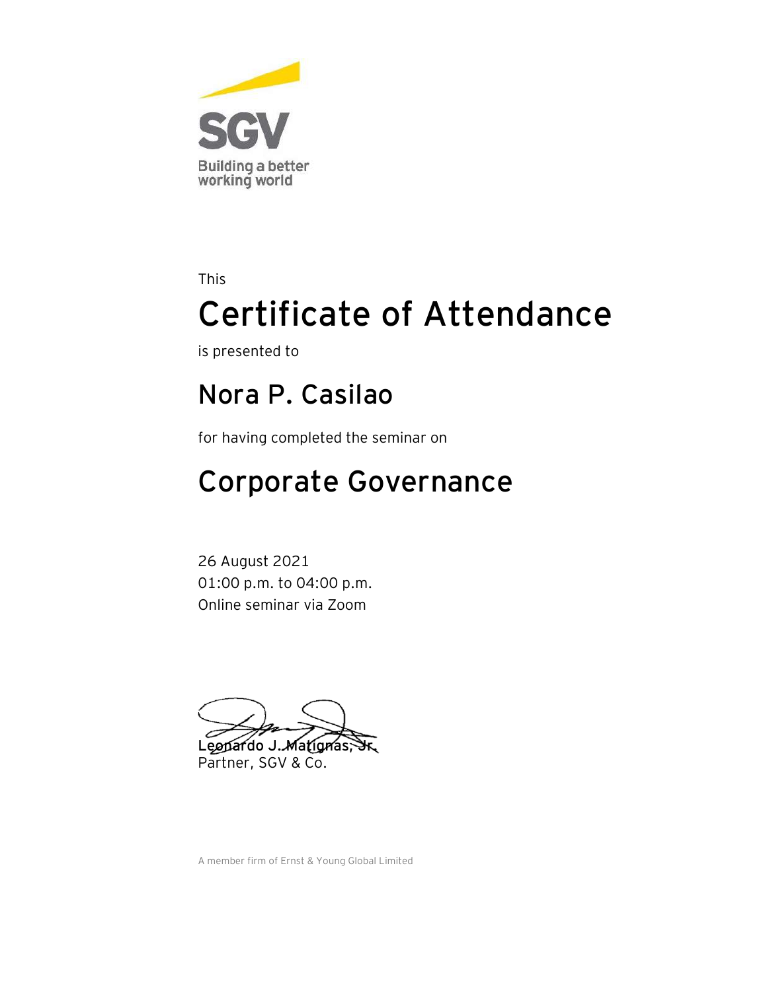

is presented to

#### **Nora P. Casilao**

for having completed the seminar on

## Corporate Governance

26 August 2021 01:00 p.m. to 04:00 p.m. Online seminar via Zoom

Leopardo J. Matignas, Partner, SGV & Co.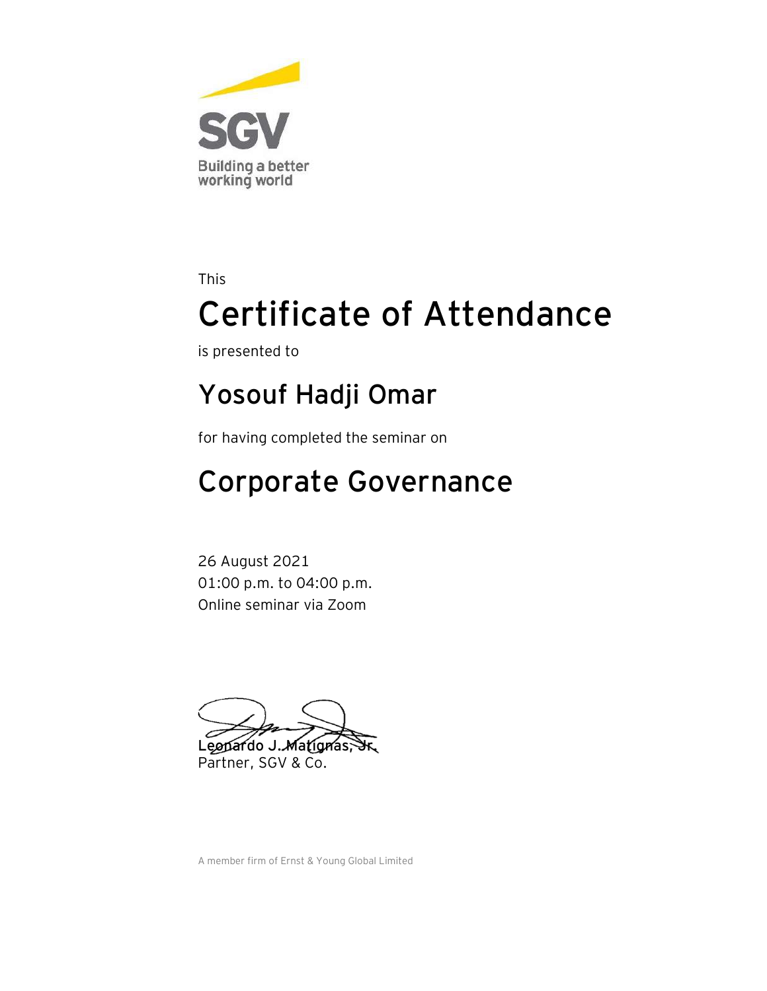

is presented to

### **Yosouf Hadji Omar**

for having completed the seminar on

## Corporate Governance

26 August 2021 01:00 p.m. to 04:00 p.m. Online seminar via Zoom

Leopardo J. Matignas, Partner, SGV & Co.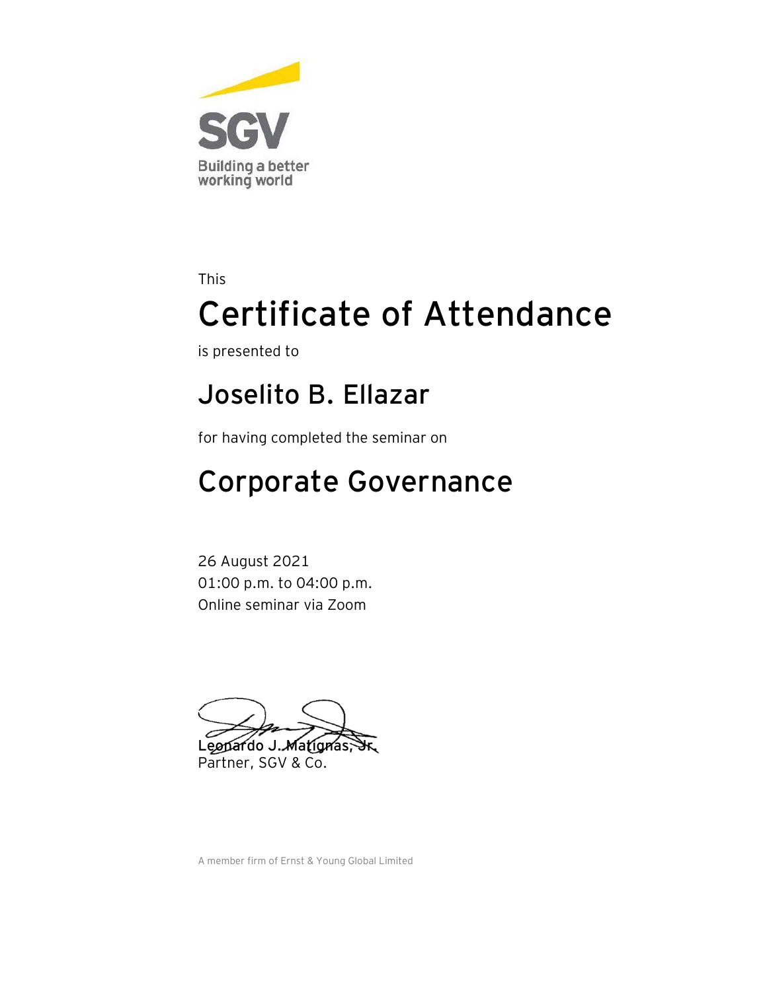

is presented to

#### **Joselito B. Ellazar**

for having completed the seminar on

## Corporate Governance

26 August 2021 01:00 p.m. to 04:00 p.m. Online seminar via Zoom

Leopardo J. Matignas, Partner, SGV & Co.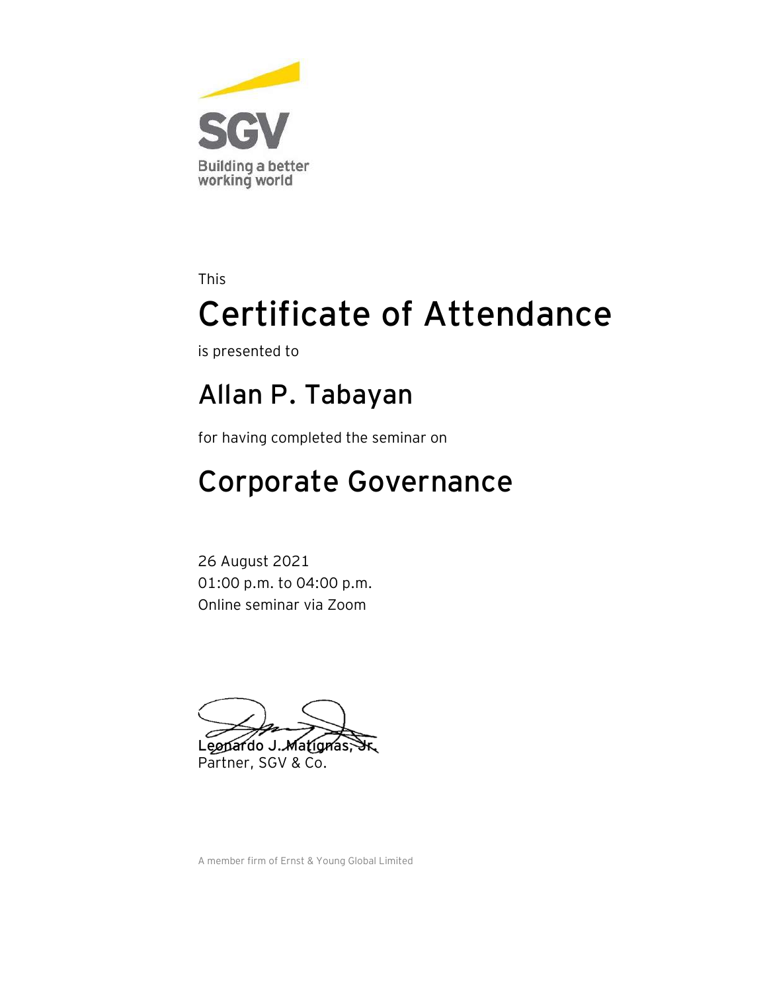

is presented to

#### **Allan P. Tabayan**

for having completed the seminar on

## Corporate Governance

26 August 2021 01:00 p.m. to 04:00 p.m. Online seminar via Zoom

Leopardo J. Matignas, Partner, SGV & Co.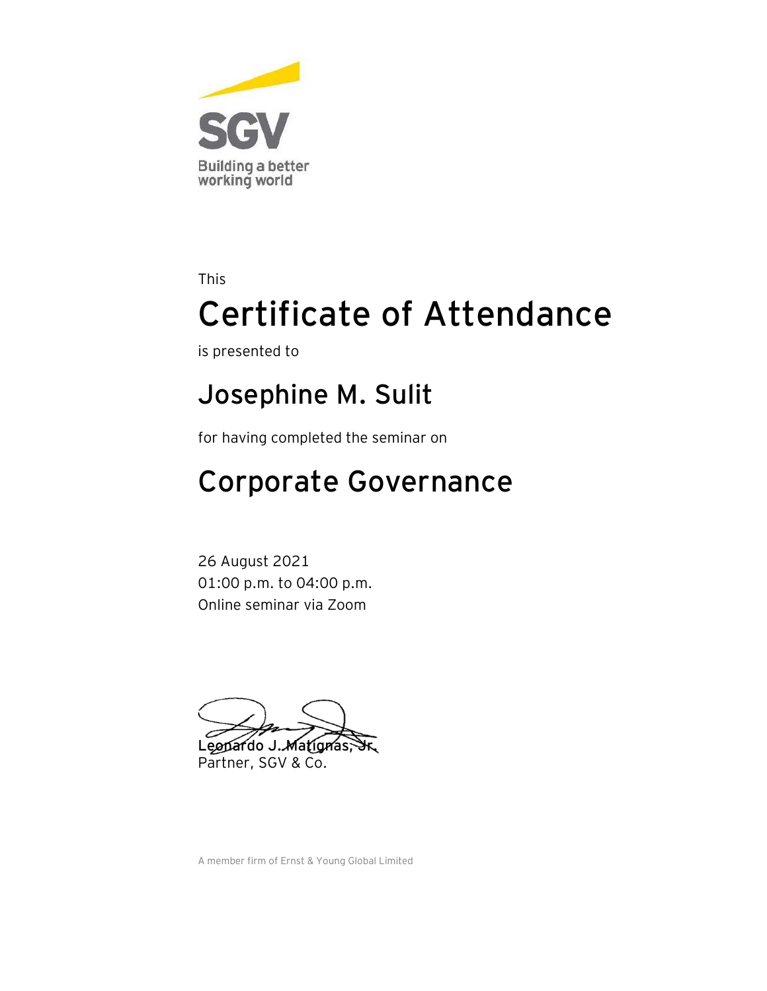

is presented to

### **Josephine M. Sulit**

for having completed the seminar on

## Corporate Governance

26 August 2021 01:00 p.m. to 04:00 p.m. Online seminar via Zoom

Leopardo J. Matignas, Partner, SGV & Co.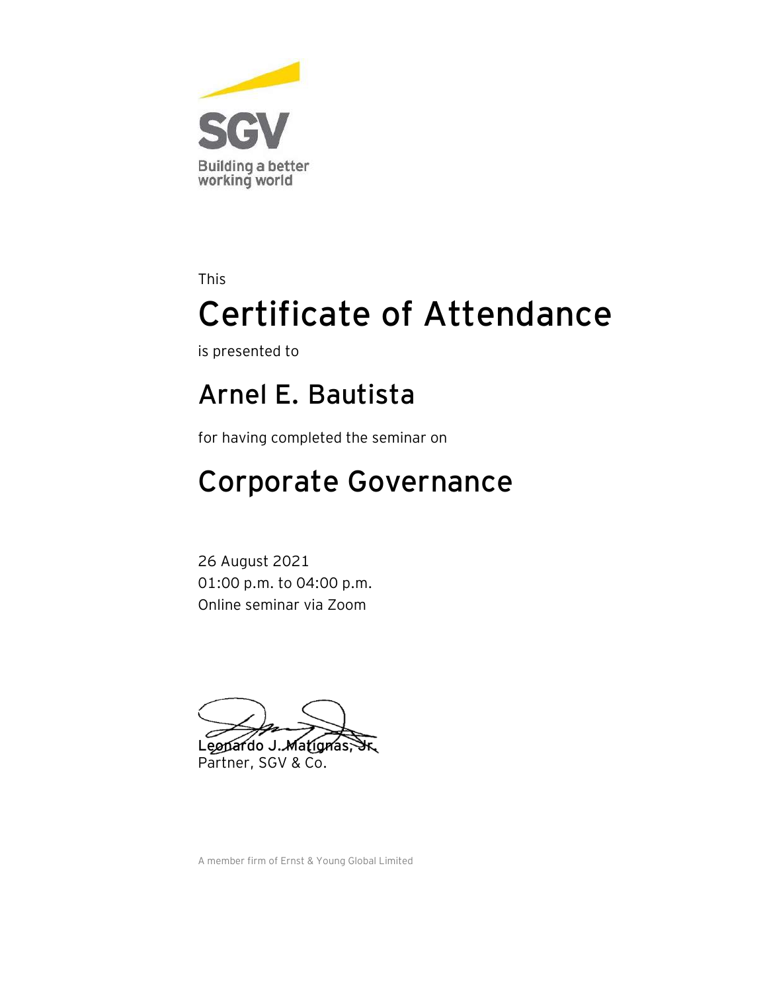

is presented to

#### **Arnel E. Bautista**

for having completed the seminar on

## Corporate Governance

26 August 2021 01:00 p.m. to 04:00 p.m. Online seminar via Zoom

Leopardo J. Matignas, Partner, SGV & Co.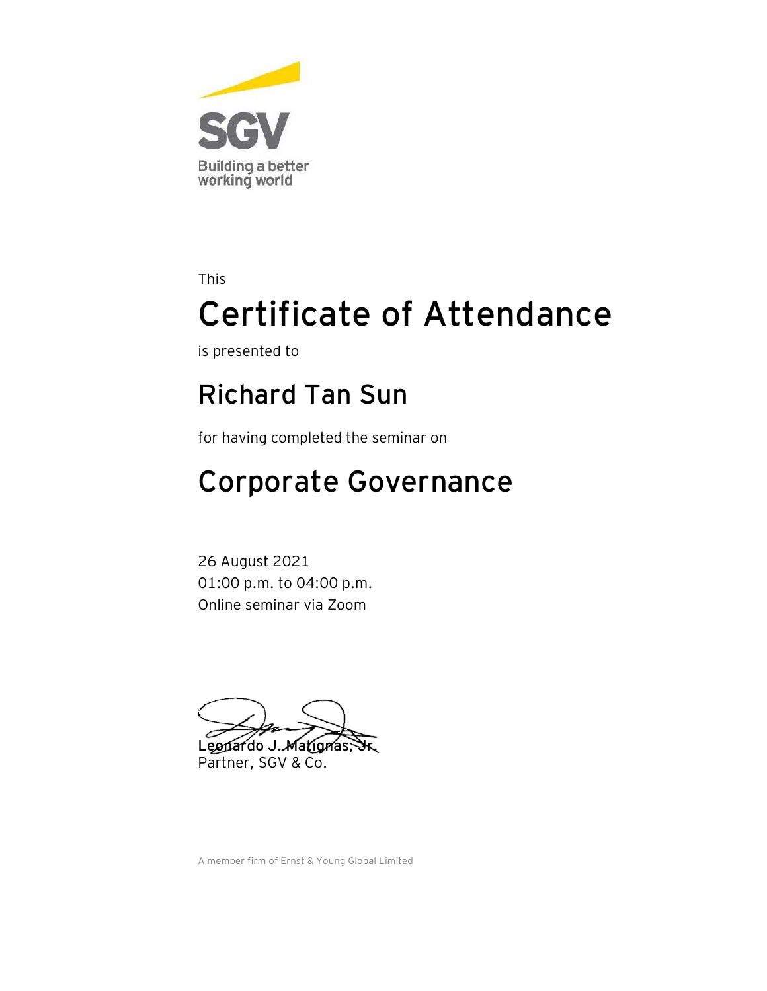

is presented to

#### **Richard Tan Sun**

for having completed the seminar on

## Corporate Governance

26 August 2021 01:00 p.m. to 04:00 p.m. Online seminar via Zoom

Leopardo J. Matignas, Partner, SGV & Co.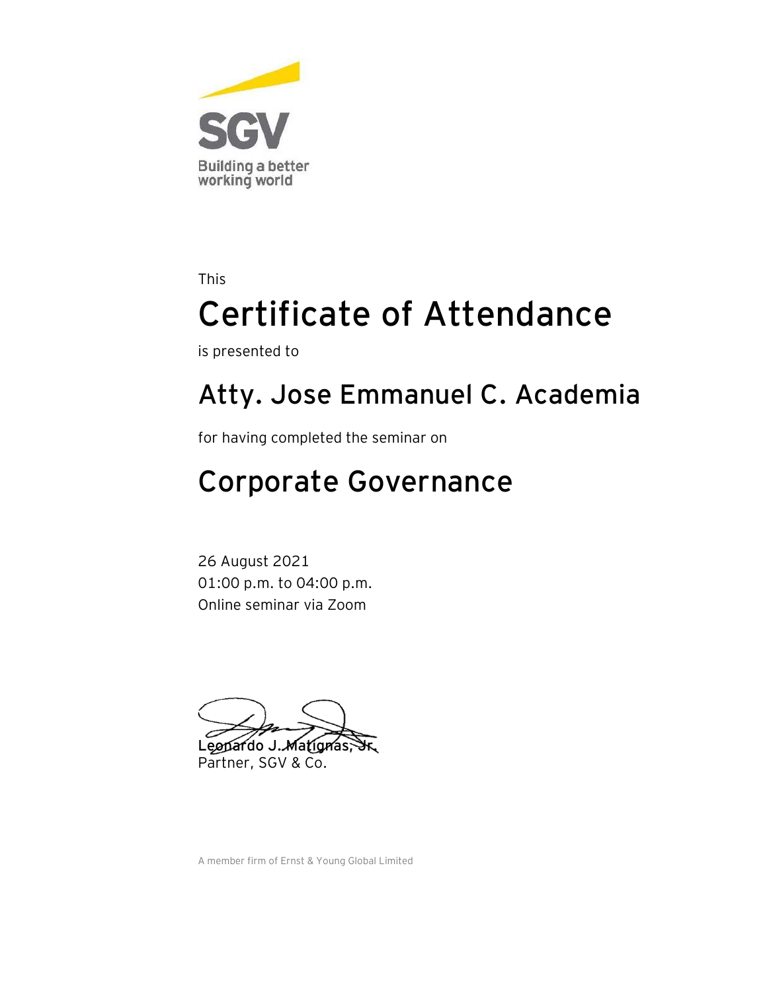

is presented to

### **Atty. Jose Emmanuel C. Academia**

for having completed the seminar on

## Corporate Governance

26 August 2021 01:00 p.m. to 04:00 p.m. Online seminar via Zoom

Leopardo J. Matignas, Partner, SGV & Co.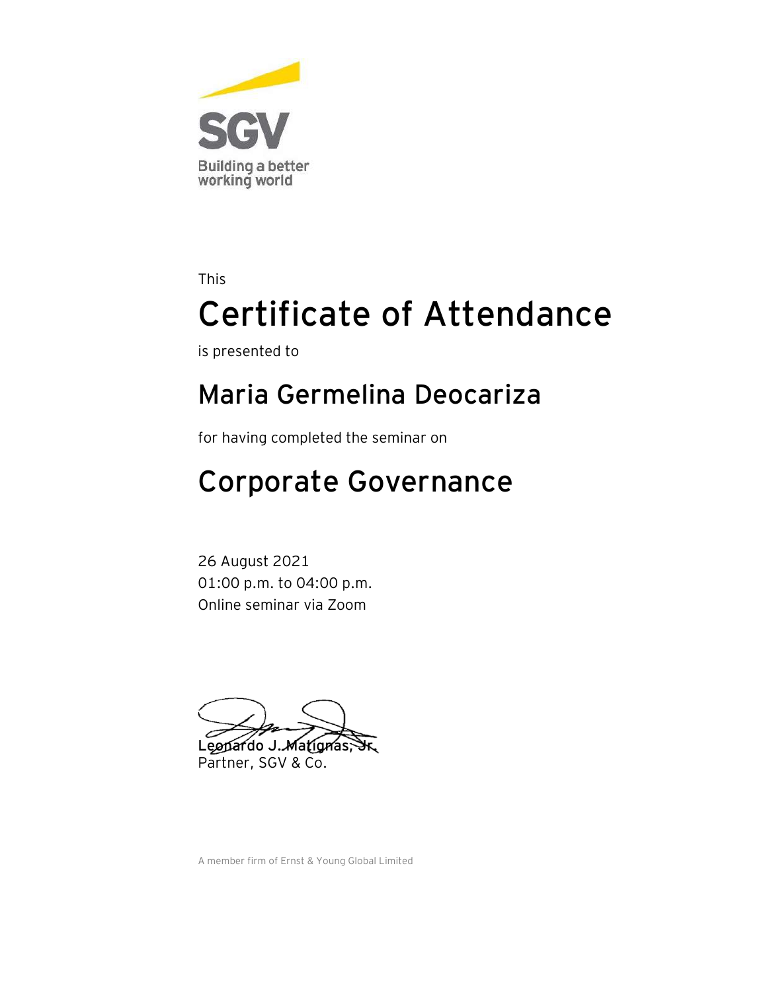

is presented to

#### **Maria Germelina Deocariza**

for having completed the seminar on

## Corporate Governance

26 August 2021 01:00 p.m. to 04:00 p.m. Online seminar via Zoom

Leopardo J. Matignas, Partner, SGV & Co.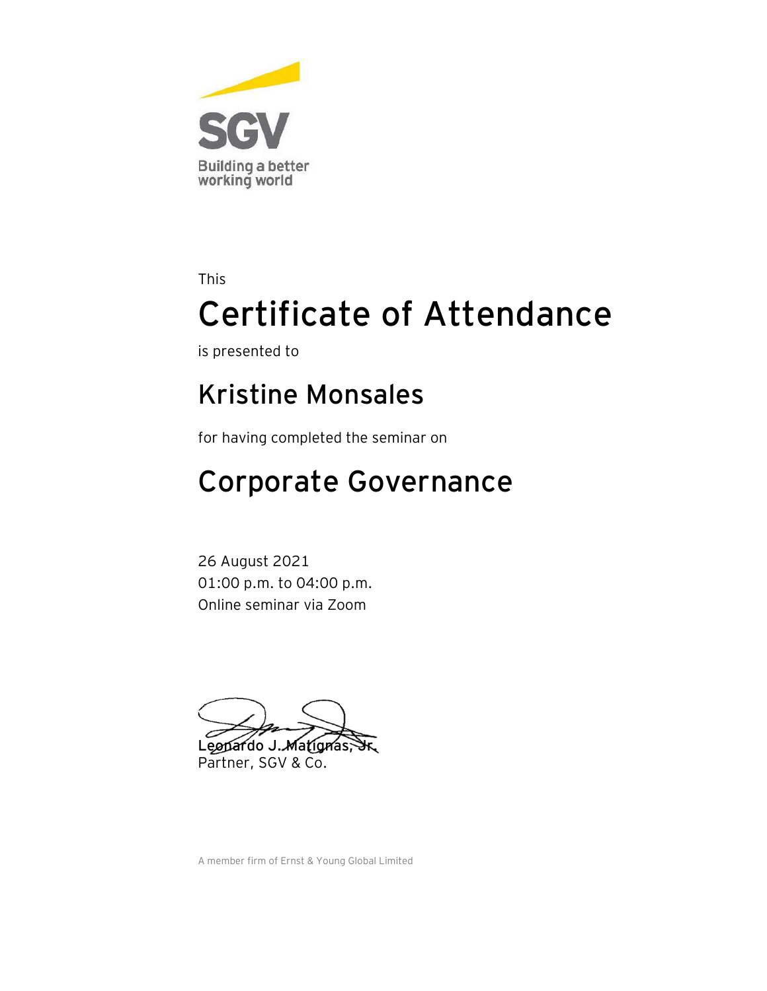

is presented to

#### **Kristine Monsales**

for having completed the seminar on

## Corporate Governance

26 August 2021 01:00 p.m. to 04:00 p.m. Online seminar via Zoom

Leopardo J. Matignas, Partner, SGV & Co.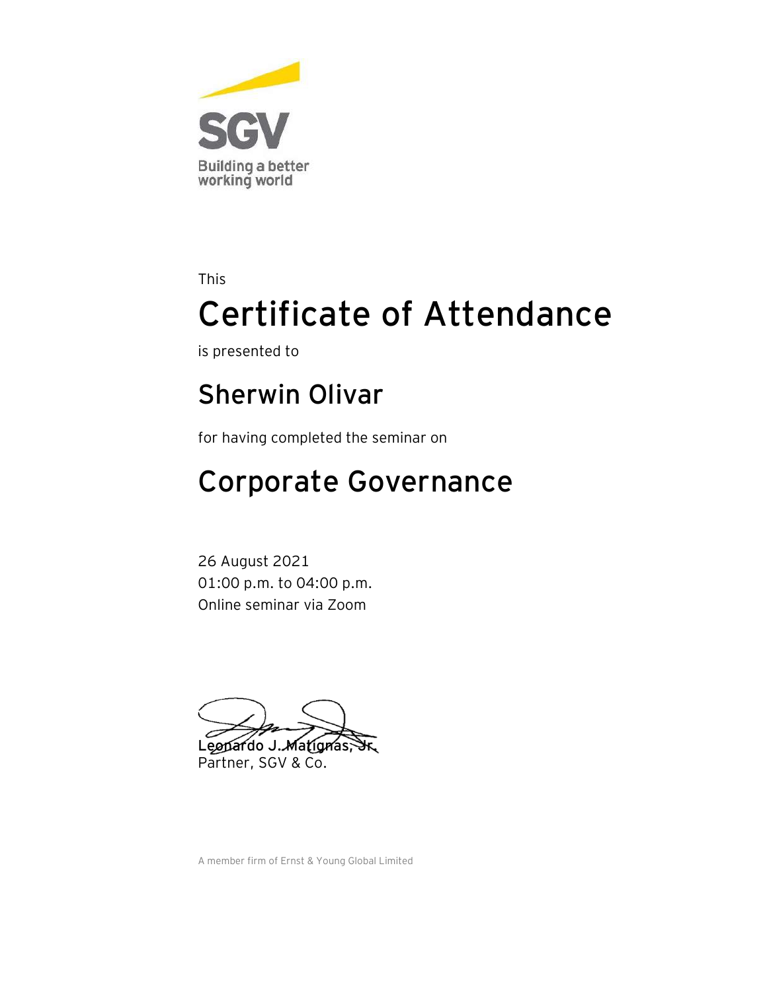

is presented to

#### **Sherwin Olivar**

for having completed the seminar on

## Corporate Governance

26 August 2021 01:00 p.m. to 04:00 p.m. Online seminar via Zoom

Leopardo J. Matignas, Partner, SGV & Co.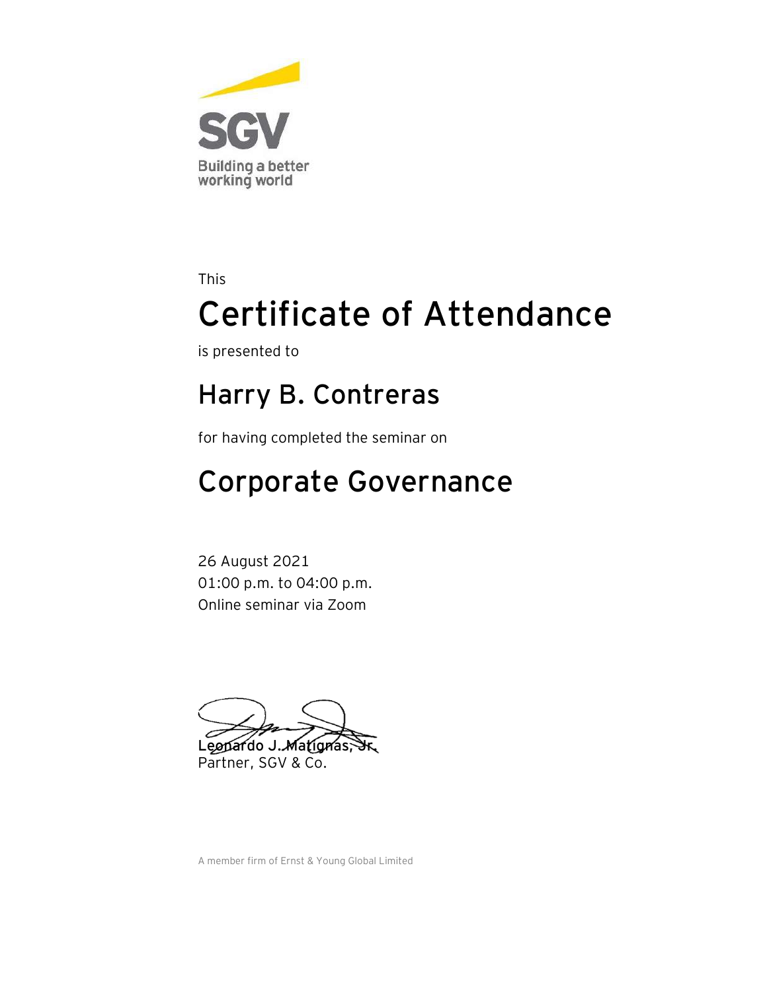

is presented to

#### **Harry B. Contreras**

for having completed the seminar on

## Corporate Governance

26 August 2021 01:00 p.m. to 04:00 p.m. Online seminar via Zoom

Leopardo J. Matignas, Partner, SGV & Co.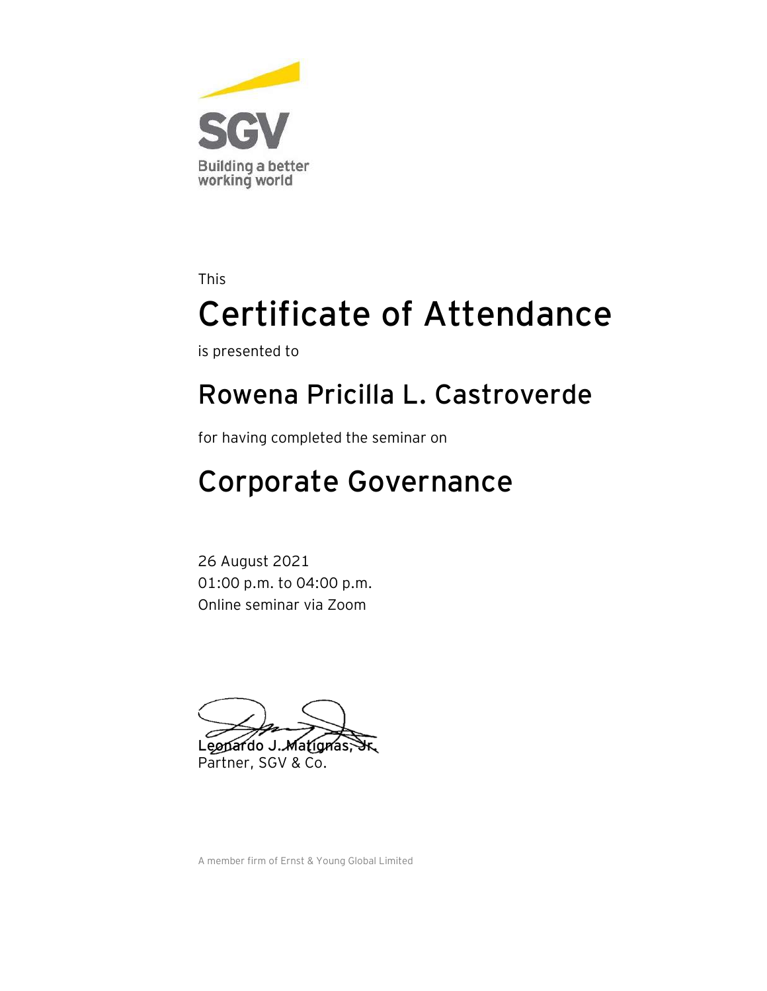

is presented to

#### **Rowena Pricilla L. Castroverde**

for having completed the seminar on

## Corporate Governance

26 August 2021 01:00 p.m. to 04:00 p.m. Online seminar via Zoom

Leonardo J. Matignas; Partner, SGV & Co.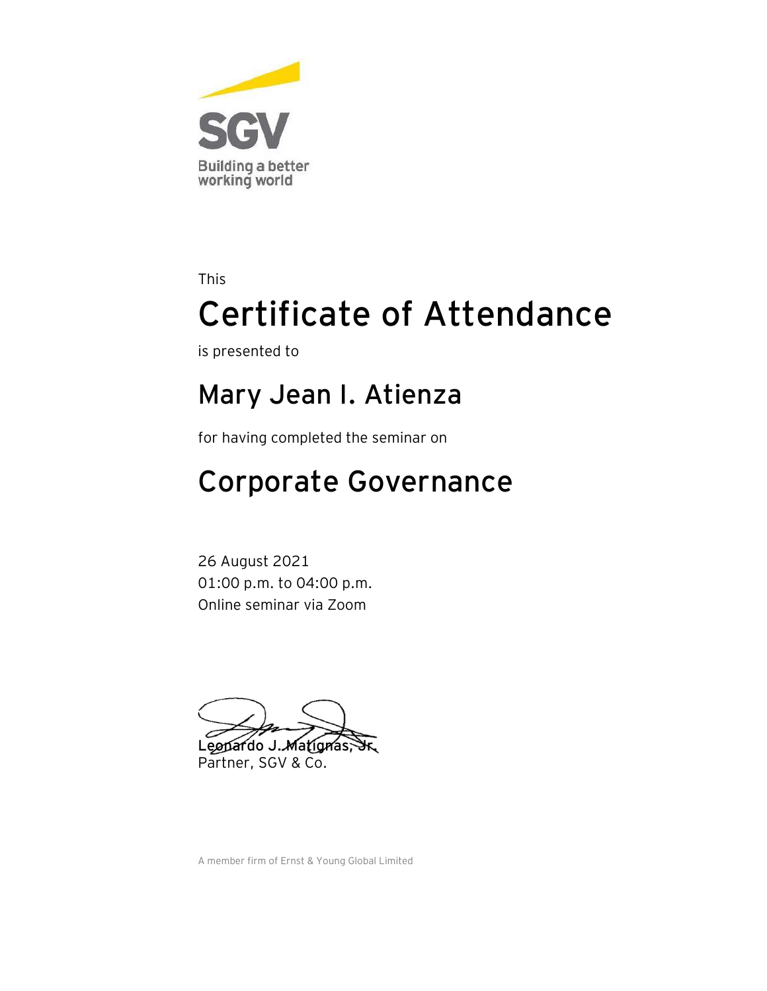

is presented to

#### **Mary Jean I. Atienza**

for having completed the seminar on

## Corporate Governance

26 August 2021 01:00 p.m. to 04:00 p.m. Online seminar via Zoom

Leopardo J. Matignas, Partner, SGV & Co.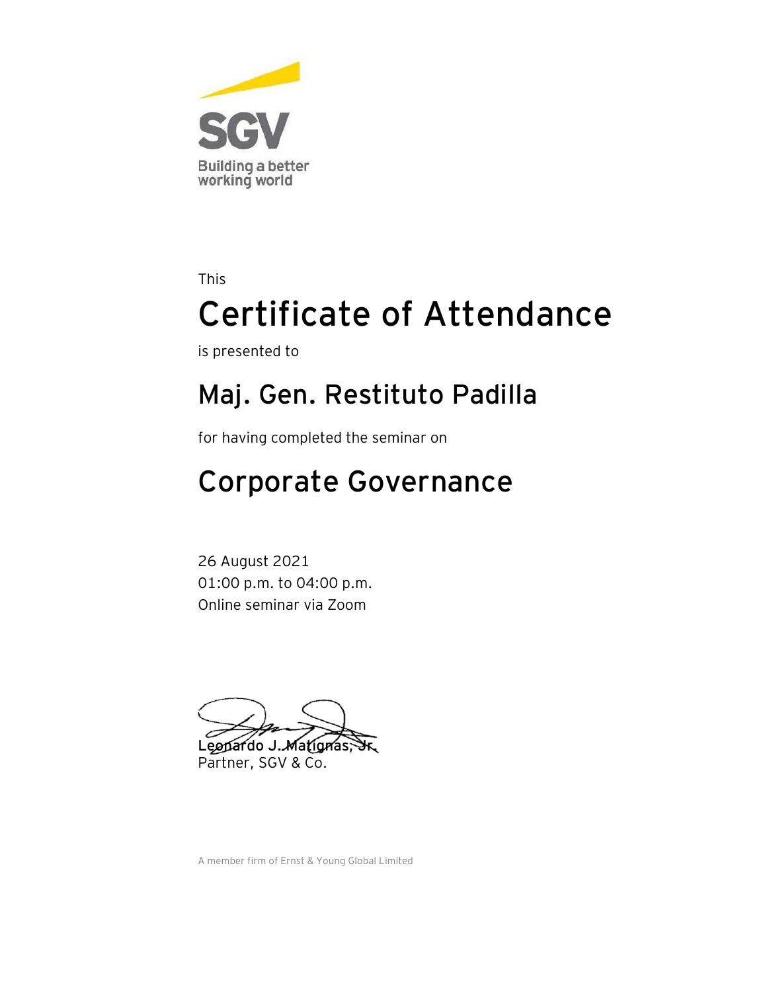

is presented to

### **Maj. Gen. Restituto Padilla**

for having completed the seminar on

## Corporate Governance

26 August 2021 01:00 p.m. to 04:00 p.m. Online seminar via Zoom

Leonardo J. Matignas Partner, SGV & Co.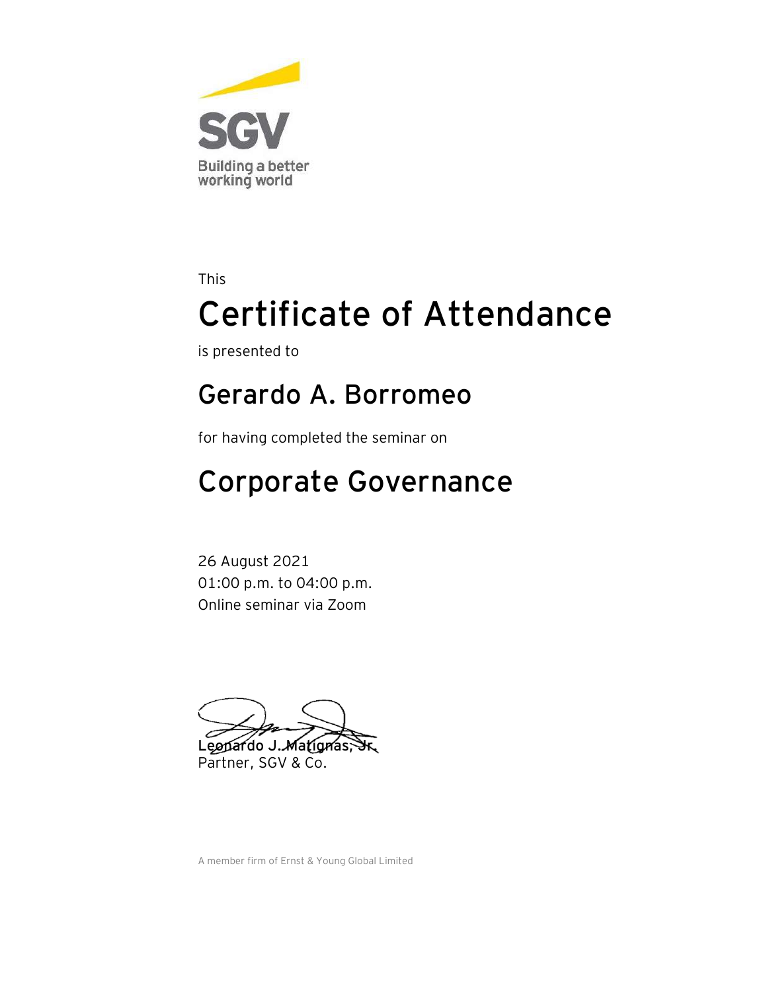

is presented to

#### **Gerardo A. Borromeo**

for having completed the seminar on

## Corporate Governance

26 August 2021 01:00 p.m. to 04:00 p.m. Online seminar via Zoom

Leopardo J. Matignas, Partner, SGV & Co.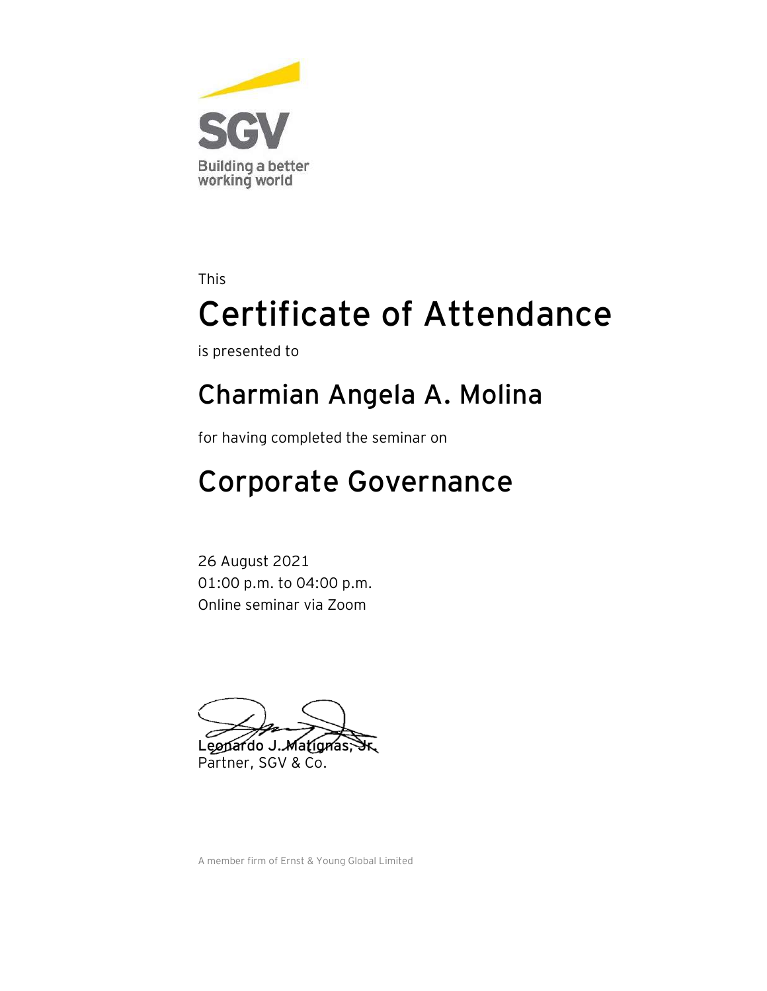

is presented to

#### **Charmian Angela A. Molina**

for having completed the seminar on

## Corporate Governance

26 August 2021 01:00 p.m. to 04:00 p.m. Online seminar via Zoom

Leopardo J. Matignas, Partner, SGV & Co.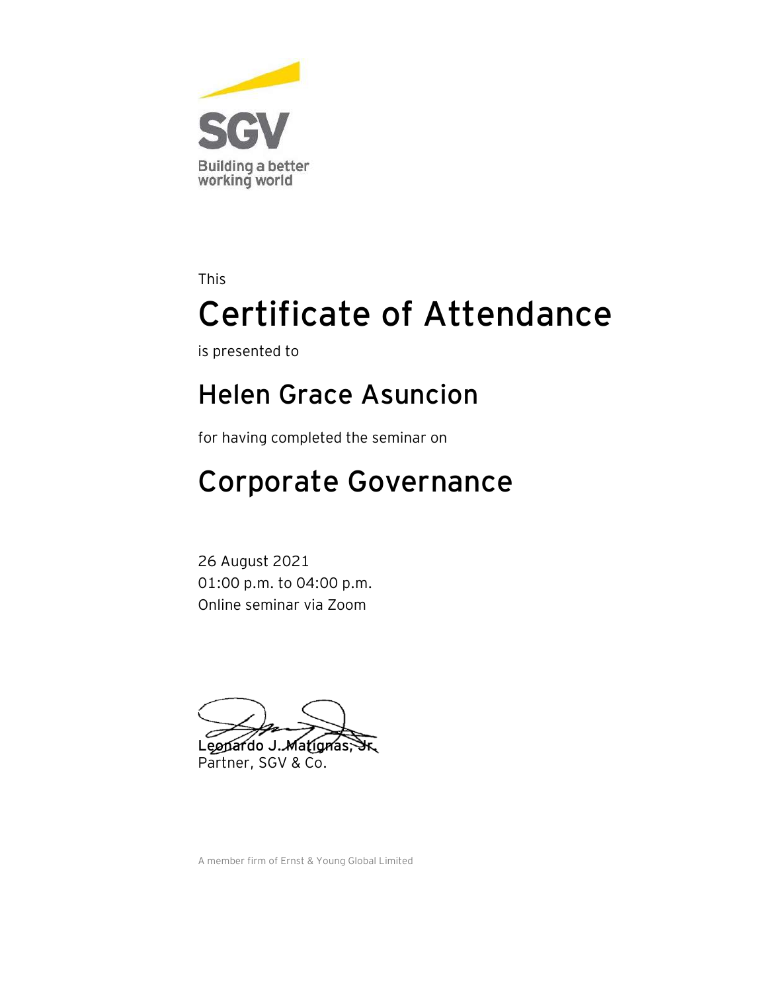

is presented to

#### **Helen Grace Asuncion**

for having completed the seminar on

## Corporate Governance

26 August 2021 01:00 p.m. to 04:00 p.m. Online seminar via Zoom

Leopardo J. Matignas, Partner, SGV & Co.